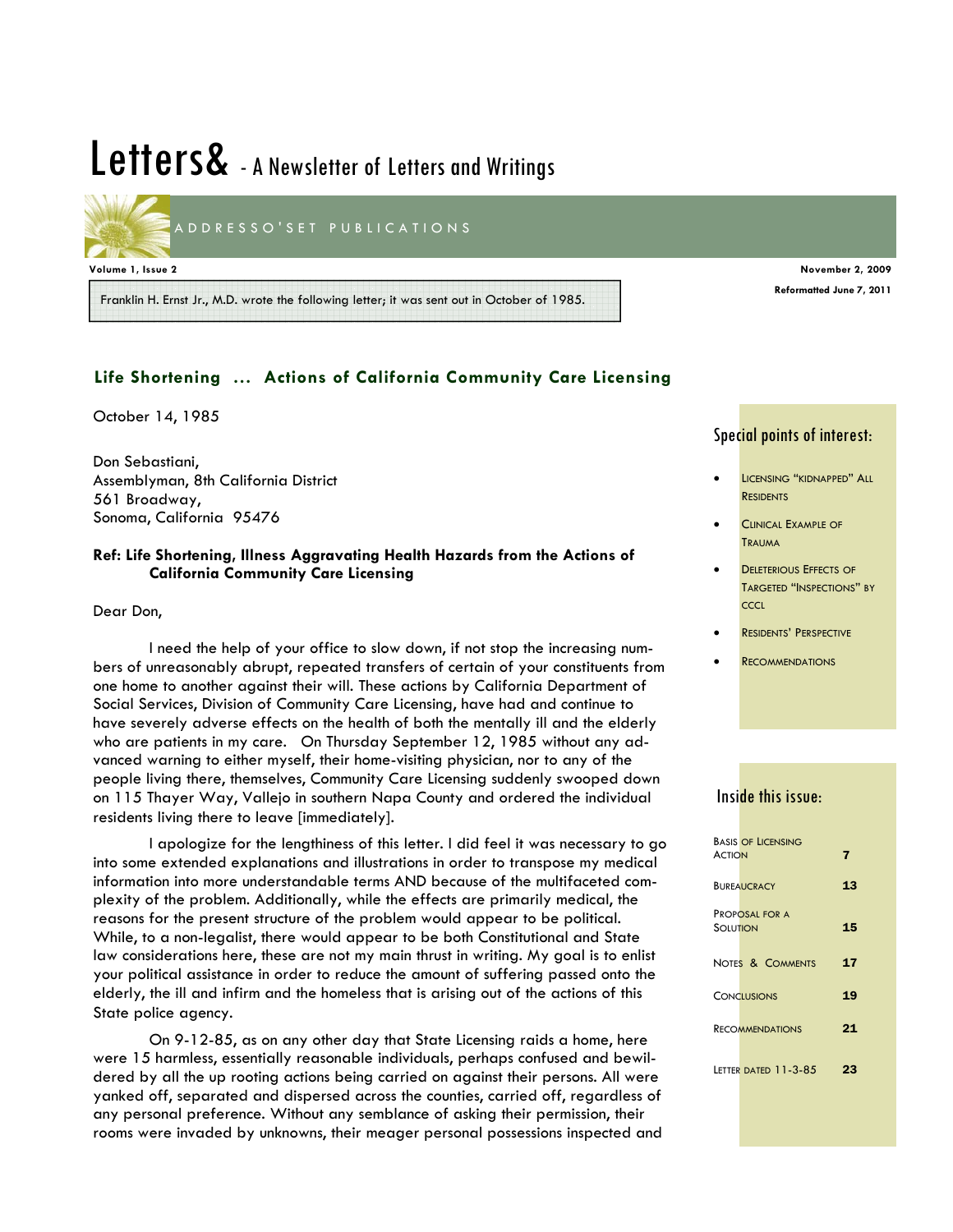# Letters& - A Newsletter of Letters and Writings

ADDRESSO'SET PUBLICATIONS

#### **Volume 1, Issue 2 November 2, 2009**

Franklin H. Ernst Jr., M.D. wrote the following letter; it was sent out in October of 1985.

## **Life Shortening … Actions of California Community Care Licensing**

October 14, 1985

Don Sebastiani, Assemblyman, 8th California District 561 Broadway, Sonoma, California 95476

## **Ref: Life Shortening, Illness Aggravating Health Hazards from the Actions of California Community Care Licensing**

Dear Don,

 I need the help of your office to slow down, if not stop the increasing numbers of unreasonably abrupt, repeated transfers of certain of your constituents from one home to another against their will. These actions by California Department of Social Services, Division of Community Care Licensing, have had and continue to have severely adverse effects on the health of both the mentally ill and the elderly who are patients in my care. On Thursday September 12, 1985 without any advanced warning to either myself, their home-visiting physician, nor to any of the people living there, themselves, Community Care Licensing suddenly swooped down on 115 Thayer Way, Vallejo in southern Napa County and ordered the individual residents living there to leave [immediately].

 I apologize for the lengthiness of this letter. I did feel it was necessary to go into some extended explanations and illustrations in order to transpose my medical information into more understandable terms AND because of the multifaceted complexity of the problem. Additionally, while the effects are primarily medical, the reasons for the present structure of the problem would appear to be political. While, to a non-legalist, there would appear to be both Constitutional and State law considerations here, these are not my main thrust in writing. My goal is to enlist your political assistance in order to reduce the amount of suffering passed onto the elderly, the ill and infirm and the homeless that is arising out of the actions of this State police agency.

 On 9-12-85, as on any other day that State Licensing raids a home, here were 15 harmless, essentially reasonable individuals, perhaps confused and bewildered by all the up rooting actions being carried on against their persons. All were yanked off, separated and dispersed across the counties, carried off, regardless of any personal preference. Without any semblance of asking their permission, their rooms were invaded by unknowns, their meager personal possessions inspected and

#### Special points of interest:

**Reformatted June 7, 2011** 

- LICENSING "KIDNAPPED" ALL **RESIDENTS**
- **CLINICAL EXAMPLE OF TRAUMA**
- **DELETERIOUS EFFECTS OF** TARGETED "INSPECTIONS" BY CCCL
- RESIDENTS' PERSPECTIVE
- **RECOMMENDATIONS**

# Inside this issue:

|               | <b>BASIS OF LICENSING</b> |    |
|---------------|---------------------------|----|
| <b>ACTION</b> |                           | 7  |
|               |                           |    |
|               | <b>BUREAUCRACY</b>        | 13 |
|               |                           |    |
|               | <b>PROPOSAL FOR A</b>     |    |
| SOLUTION      |                           | 15 |
|               |                           |    |
|               | NOTES & COMMENTS          | 17 |
|               |                           |    |
|               | <b>CONCLUSIONS</b>        | 19 |
|               |                           |    |
|               | <b>RECOMMENDATIONS</b>    | 21 |
|               |                           |    |
|               |                           |    |
|               | LETTER DATED 11-3-85      | 23 |
|               |                           |    |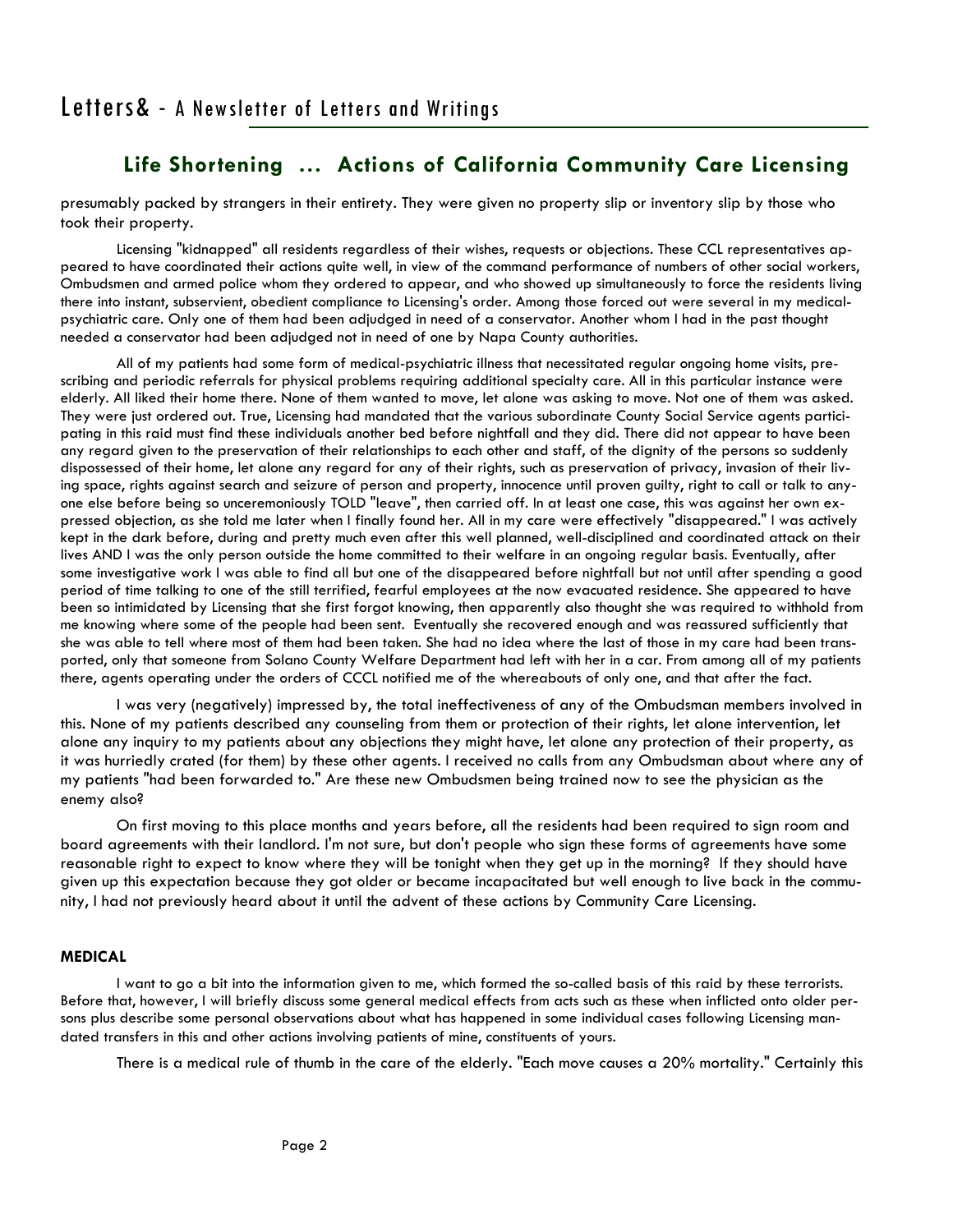presumably packed by strangers in their entirety. They were given no property slip or inventory slip by those who took their property.

 Licensing "kidnapped" all residents regardless of their wishes, requests or objections. These CCL representatives appeared to have coordinated their actions quite well, in view of the command performance of numbers of other social workers, Ombudsmen and armed police whom they ordered to appear, and who showed up simultaneously to force the residents living there into instant, subservient, obedient compliance to Licensing's order. Among those forced out were several in my medicalpsychiatric care. Only one of them had been adjudged in need of a conservator. Another whom I had in the past thought needed a conservator had been adjudged not in need of one by Napa County authorities.

 All of my patients had some form of medical-psychiatric illness that necessitated regular ongoing home visits, prescribing and periodic referrals for physical problems requiring additional specialty care. All in this particular instance were elderly. All liked their home there. None of them wanted to move, let alone was asking to move. Not one of them was asked. They were just ordered out. True, Licensing had mandated that the various subordinate County Social Service agents participating in this raid must find these individuals another bed before nightfall and they did. There did not appear to have been any regard given to the preservation of their relationships to each other and staff, of the dignity of the persons so suddenly dispossessed of their home, let alone any regard for any of their rights, such as preservation of privacy, invasion of their living space, rights against search and seizure of person and property, innocence until proven guilty, right to call or talk to anyone else before being so unceremoniously TOLD "leave", then carried off. In at least one case, this was against her own expressed objection, as she told me later when I finally found her. All in my care were effectively "disappeared." I was actively kept in the dark before, during and pretty much even after this well planned, well-disciplined and coordinated attack on their lives AND I was the only person outside the home committed to their welfare in an ongoing regular basis. Eventually, after some investigative work I was able to find all but one of the disappeared before nightfall but not until after spending a good period of time talking to one of the still terrified, fearful employees at the now evacuated residence. She appeared to have been so intimidated by Licensing that she first forgot knowing, then apparently also thought she was required to withhold from me knowing where some of the people had been sent. Eventually she recovered enough and was reassured sufficiently that she was able to tell where most of them had been taken. She had no idea where the last of those in my care had been transported, only that someone from Solano County Welfare Department had left with her in a car. From among all of my patients there, agents operating under the orders of CCCL notified me of the whereabouts of only one, and that after the fact.

 I was very (negatively) impressed by, the total ineffectiveness of any of the Ombudsman members involved in this. None of my patients described any counseling from them or protection of their rights, let alone intervention, let alone any inquiry to my patients about any objections they might have, let alone any protection of their property, as it was hurriedly crated (for them) by these other agents. I received no calls from any Ombudsman about where any of my patients "had been forwarded to." Are these new Ombudsmen being trained now to see the physician as the enemy also?

 On first moving to this place months and years before, all the residents had been required to sign room and board agreements with their landlord. I'm not sure, but don't people who sign these forms of agreements have some reasonable right to expect to know where they will be tonight when they get up in the morning? If they should have given up this expectation because they got older or became incapacitated but well enough to live back in the community, I had not previously heard about it until the advent of these actions by Community Care Licensing.

#### **MEDICAL**

 I want to go a bit into the information given to me, which formed the so-called basis of this raid by these terrorists. Before that, however, I will briefly discuss some general medical effects from acts such as these when inflicted onto older persons plus describe some personal observations about what has happened in some individual cases following Licensing mandated transfers in this and other actions involving patients of mine, constituents of yours.

There is a medical rule of thumb in the care of the elderly. "Each move causes a 20% mortality." Certainly this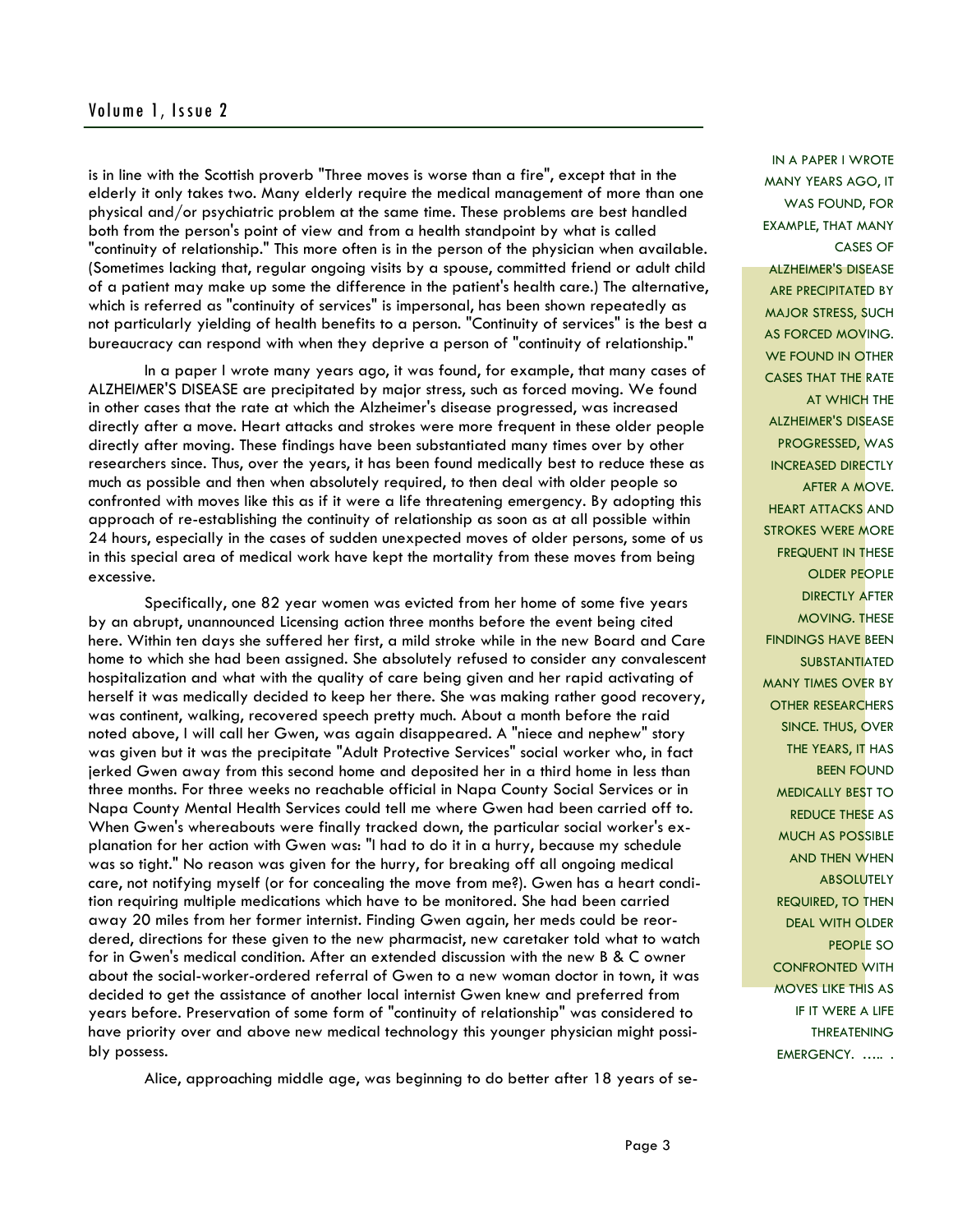## Volume 1, Issue 2

is in line with the Scottish proverb "Three moves is worse than a fire", except that in the elderly it only takes two. Many elderly require the medical management of more than one physical and/or psychiatric problem at the same time. These problems are best handled both from the person's point of view and from a health standpoint by what is called "continuity of relationship." This more often is in the person of the physician when available. (Sometimes lacking that, regular ongoing visits by a spouse, committed friend or adult child of a patient may make up some the difference in the patient's health care.) The alternative, which is referred as "continuity of services" is impersonal, has been shown repeatedly as not particularly yielding of health benefits to a person. "Continuity of services" is the best a bureaucracy can respond with when they deprive a person of "continuity of relationship."

 In a paper I wrote many years ago, it was found, for example, that many cases of ALZHEIMER'S DISEASE are precipitated by major stress, such as forced moving. We found in other cases that the rate at which the Alzheimer's disease progressed, was increased directly after a move. Heart attacks and strokes were more frequent in these older people directly after moving. These findings have been substantiated many times over by other researchers since. Thus, over the years, it has been found medically best to reduce these as much as possible and then when absolutely required, to then deal with older people so confronted with moves like this as if it were a life threatening emergency. By adopting this approach of re-establishing the continuity of relationship as soon as at all possible within 24 hours, especially in the cases of sudden unexpected moves of older persons, some of us in this special area of medical work have kept the mortality from these moves from being excessive.

 Specifically, one 82 year women was evicted from her home of some five years by an abrupt, unannounced Licensing action three months before the event being cited here. Within ten days she suffered her first, a mild stroke while in the new Board and Care home to which she had been assigned. She absolutely refused to consider any convalescent hospitalization and what with the quality of care being given and her rapid activating of herself it was medically decided to keep her there. She was making rather good recovery, was continent, walking, recovered speech pretty much. About a month before the raid noted above, I will call her Gwen, was again disappeared. A "niece and nephew" story was given but it was the precipitate "Adult Protective Services" social worker who, in fact jerked Gwen away from this second home and deposited her in a third home in less than three months. For three weeks no reachable official in Napa County Social Services or in Napa County Mental Health Services could tell me where Gwen had been carried off to. When Gwen's whereabouts were finally tracked down, the particular social worker's explanation for her action with Gwen was: "I had to do it in a hurry, because my schedule was so tight." No reason was given for the hurry, for breaking off all ongoing medical care, not notifying myself (or for concealing the move from me?). Gwen has a heart condition requiring multiple medications which have to be monitored. She had been carried away 20 miles from her former internist. Finding Gwen again, her meds could be reordered, directions for these given to the new pharmacist, new caretaker told what to watch for in Gwen's medical condition. After an extended discussion with the new B & C owner about the social-worker-ordered referral of Gwen to a new woman doctor in town, it was decided to get the assistance of another local internist Gwen knew and preferred from years before. Preservation of some form of "continuity of relationship" was considered to have priority over and above new medical technology this younger physician might possibly possess.

Alice, approaching middle age, was beginning to do better after 18 years of se-

MANY YEARS AGO, IT WAS FOUND, FOR EXAMPLE, THAT MANY CASES OF ALZHEIMER'S DISEASE ARE PRECIPITATED BY MAJOR STRESS, SUCH AS FORCED MOVING. WE FOUND IN OTHER CASES THAT THE RATE AT WHICH THE ALZHEIMER'S DISEASE PROGRESSED, WAS INCREASED DIRECTLY AFTER A MOVE. HEART ATTACKS AND STROKES WERE MORE FREQUENT IN THESE OLDER PEOPLE DIRECTLY AFTER MOVING. THESE FINDINGS HAVE BEEN **SUBSTANTIATED** MANY TIMES OVER BY OTHER RESEARCHERS SINCE. THUS, OVER THE YEARS, IT HAS BEEN FOUND MEDICALLY BEST TO REDUCE THESE AS MUCH AS POSSIBLE AND THEN WHEN **ABSOLUTELY** REQUIRED, TO THEN DEAL WITH OLDER PEOPLE SO CONFRONTED WITH MOVES LIKE THIS AS IF IT WERE A LIFE THREATENING EMERGENCY. ..... .

IN A PAPER I WROTE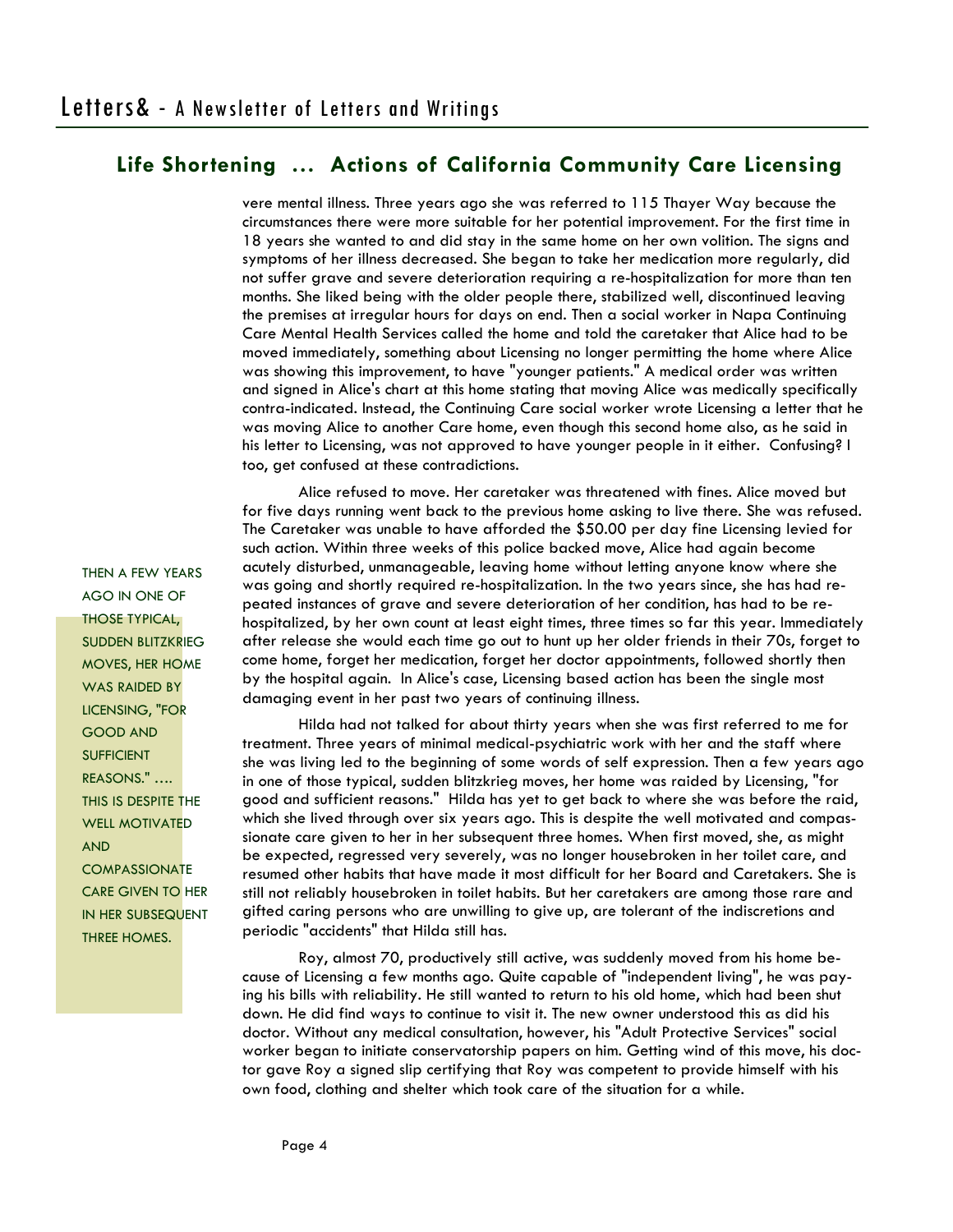vere mental illness. Three years ago she was referred to 115 Thayer Way because the circumstances there were more suitable for her potential improvement. For the first time in 18 years she wanted to and did stay in the same home on her own volition. The signs and symptoms of her illness decreased. She began to take her medication more regularly, did not suffer grave and severe deterioration requiring a re-hospitalization for more than ten months. She liked being with the older people there, stabilized well, discontinued leaving the premises at irregular hours for days on end. Then a social worker in Napa Continuing Care Mental Health Services called the home and told the caretaker that Alice had to be moved immediately, something about Licensing no longer permitting the home where Alice was showing this improvement, to have "younger patients." A medical order was written and signed in Alice's chart at this home stating that moving Alice was medically specifically contra-indicated. Instead, the Continuing Care social worker wrote Licensing a letter that he was moving Alice to another Care home, even though this second home also, as he said in his letter to Licensing, was not approved to have younger people in it either. Confusing? I too, get confused at these contradictions.

 Alice refused to move. Her caretaker was threatened with fines. Alice moved but for five days running went back to the previous home asking to live there. She was refused. The Caretaker was unable to have afforded the \$50.00 per day fine Licensing levied for such action. Within three weeks of this police backed move, Alice had again become acutely disturbed, unmanageable, leaving home without letting anyone know where she was going and shortly required re-hospitalization. In the two years since, she has had repeated instances of grave and severe deterioration of her condition, has had to be rehospitalized, by her own count at least eight times, three times so far this year. Immediately after release she would each time go out to hunt up her older friends in their 70s, forget to come home, forget her medication, forget her doctor appointments, followed shortly then by the hospital again. In Alice's case, Licensing based action has been the single most damaging event in her past two years of continuing illness.

 Hilda had not talked for about thirty years when she was first referred to me for treatment. Three years of minimal medical-psychiatric work with her and the staff where she was living led to the beginning of some words of self expression. Then a few years ago in one of those typical, sudden blitzkrieg moves, her home was raided by Licensing, "for good and sufficient reasons." Hilda has yet to get back to where she was before the raid, which she lived through over six years ago. This is despite the well motivated and compassionate care given to her in her subsequent three homes. When first moved, she, as might be expected, regressed very severely, was no longer housebroken in her toilet care, and resumed other habits that have made it most difficult for her Board and Caretakers. She is still not reliably housebroken in toilet habits. But her caretakers are among those rare and gifted caring persons who are unwilling to give up, are tolerant of the indiscretions and periodic "accidents" that Hilda still has.

 Roy, almost 70, productively still active, was suddenly moved from his home because of Licensing a few months ago. Quite capable of "independent living", he was paying his bills with reliability. He still wanted to return to his old home, which had been shut down. He did find ways to continue to visit it. The new owner understood this as did his doctor. Without any medical consultation, however, his "Adult Protective Services" social worker began to initiate conservatorship papers on him. Getting wind of this move, his doctor gave Roy a signed slip certifying that Roy was competent to provide himself with his own food, clothing and shelter which took care of the situation for a while.

THEN A FEW YEARS AGO IN ONE OF THOSE TYPICAL, SUDDEN BLITZKRIEG MOVES, HER HOME WAS RAIDED BY LICENSING, "FOR GOOD AND **SUFFICIENT** REASONS." …. THIS IS DESPITE THE WELL MOTIVATED AND COMPASSIONATE CARE GIVEN TO HER IN HER SUBSEQUENT THREE HOMES.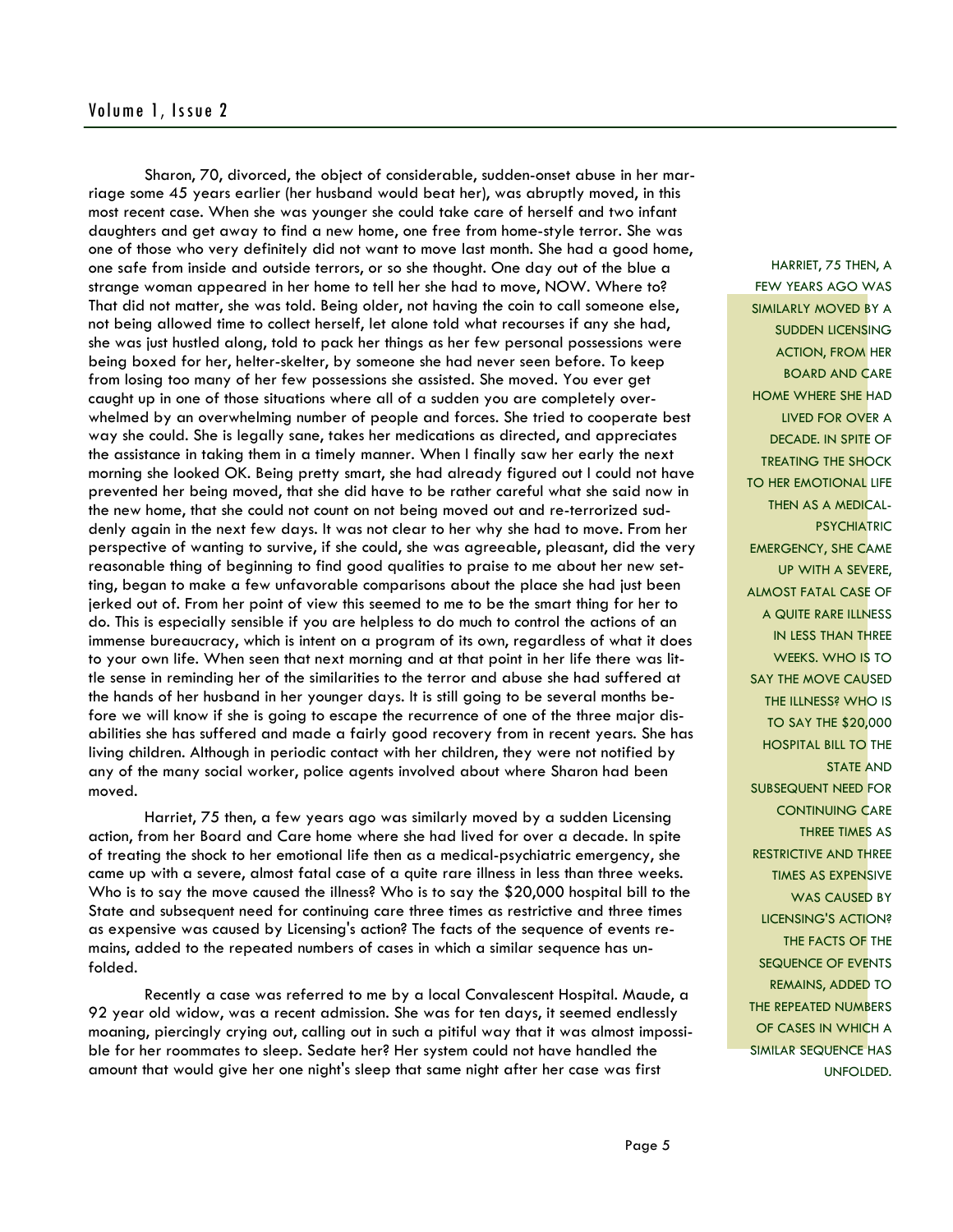# Volume 1, Issue 2

 Sharon, 70, divorced, the object of considerable, sudden-onset abuse in her marriage some 45 years earlier (her husband would beat her), was abruptly moved, in this most recent case. When she was younger she could take care of herself and two infant daughters and get away to find a new home, one free from home-style terror. She was one of those who very definitely did not want to move last month. She had a good home, one safe from inside and outside terrors, or so she thought. One day out of the blue a strange woman appeared in her home to tell her she had to move, NOW. Where to? That did not matter, she was told. Being older, not having the coin to call someone else, not being allowed time to collect herself, let alone told what recourses if any she had, she was just hustled along, told to pack her things as her few personal possessions were being boxed for her, helter-skelter, by someone she had never seen before. To keep from losing too many of her few possessions she assisted. She moved. You ever get caught up in one of those situations where all of a sudden you are completely overwhelmed by an overwhelming number of people and forces. She tried to cooperate best way she could. She is legally sane, takes her medications as directed, and appreciates the assistance in taking them in a timely manner. When I finally saw her early the next morning she looked OK. Being pretty smart, she had already figured out I could not have prevented her being moved, that she did have to be rather careful what she said now in the new home, that she could not count on not being moved out and re-terrorized suddenly again in the next few days. It was not clear to her why she had to move. From her perspective of wanting to survive, if she could, she was agreeable, pleasant, did the very reasonable thing of beginning to find good qualities to praise to me about her new setting, began to make a few unfavorable comparisons about the place she had just been jerked out of. From her point of view this seemed to me to be the smart thing for her to do. This is especially sensible if you are helpless to do much to control the actions of an immense bureaucracy, which is intent on a program of its own, regardless of what it does to your own life. When seen that next morning and at that point in her life there was little sense in reminding her of the similarities to the terror and abuse she had suffered at the hands of her husband in her younger days. It is still going to be several months before we will know if she is going to escape the recurrence of one of the three major disabilities she has suffered and made a fairly good recovery from in recent years. She has living children. Although in periodic contact with her children, they were not notified by any of the many social worker, police agents involved about where Sharon had been moved.

 Harriet, 75 then, a few years ago was similarly moved by a sudden Licensing action, from her Board and Care home where she had lived for over a decade. In spite of treating the shock to her emotional life then as a medical-psychiatric emergency, she came up with a severe, almost fatal case of a quite rare illness in less than three weeks. Who is to say the move caused the illness? Who is to say the \$20,000 hospital bill to the State and subsequent need for continuing care three times as restrictive and three times as expensive was caused by Licensing's action? The facts of the sequence of events remains, added to the repeated numbers of cases in which a similar sequence has unfolded.

 Recently a case was referred to me by a local Convalescent Hospital. Maude, a 92 year old widow, was a recent admission. She was for ten days, it seemed endlessly moaning, piercingly crying out, calling out in such a pitiful way that it was almost impossible for her roommates to sleep. Sedate her? Her system could not have handled the amount that would give her one night's sleep that same night after her case was first

HARRIET, 75 THEN, A FEW YEARS AGO WAS SIMILARLY MOVED BY A SUDDEN LICENSING ACTION, FROM HER BOARD AND CARE HOME WHERE SHE HAD LIVED FOR OVER A DECADE. IN SPITE OF TREATING THE SHOCK TO HER EMOTIONAL LIFE THEN AS A MEDICAL-**PSYCHIATRIC** EMERGENCY, SHE CAME UP WITH A SEVERE, ALMOST FATAL CASE OF A QUITE RARE ILLNESS IN LESS THAN THREE WEEKS. WHO IS TO SAY THE MOVE CAUSED THE ILLNESS? WHO IS TO SAY THE \$20,000 HOSPITAL BILL TO THE STATE AND SUBSEQUENT NEED FOR CONTINUING CARE THREE TIMES AS RESTRICTIVE AND THREE TIMES AS EXPENSIVE WAS CAUSED BY LICENSING'S ACTION? THE FACTS OF THE SEQUENCE OF EVENTS REMAINS, ADDED TO THE REPEATED NUMBERS OF CASES IN WHICH A SIMILAR SEQUENCE HAS UNFOLDED.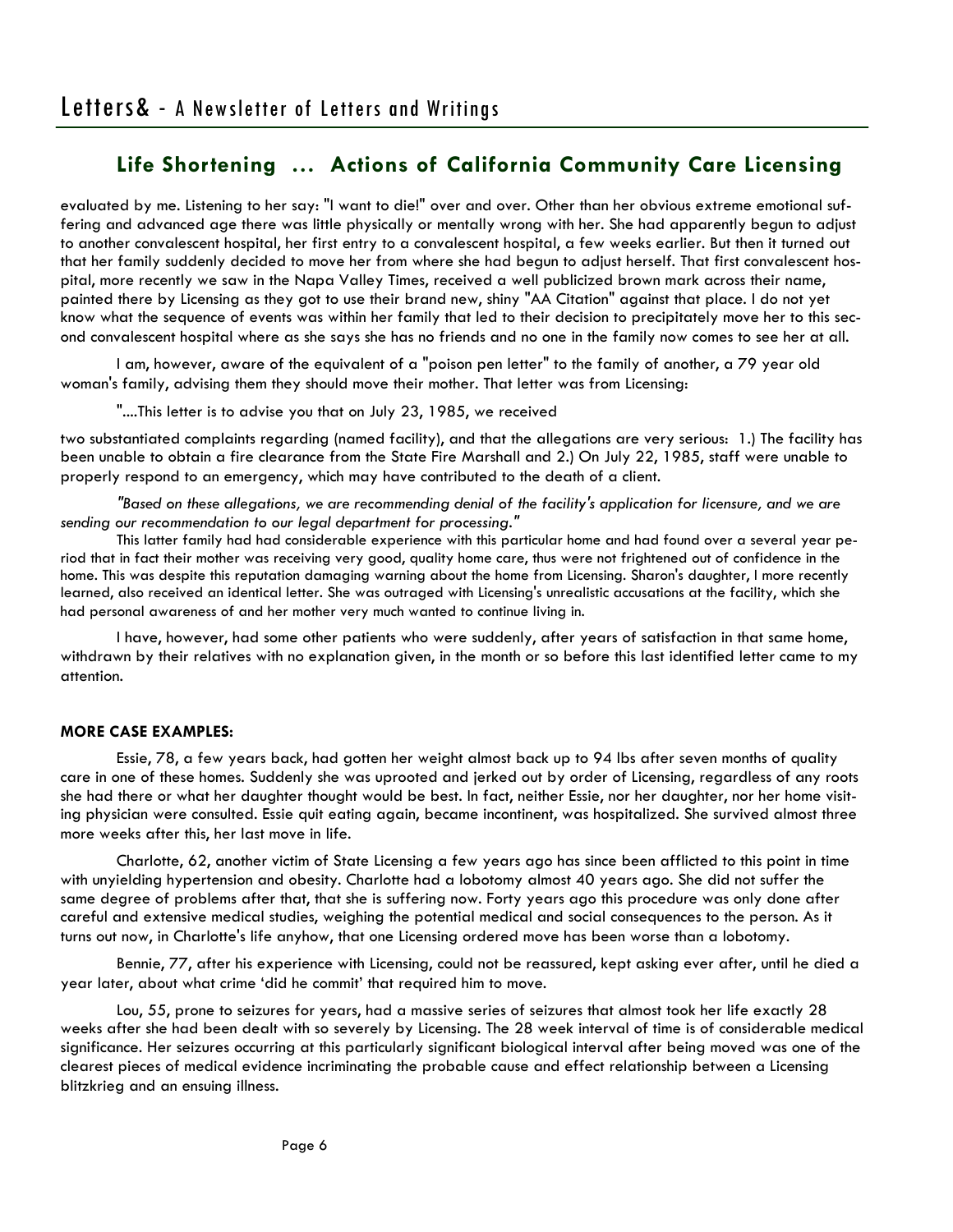evaluated by me. Listening to her say: "I want to die!" over and over. Other than her obvious extreme emotional suffering and advanced age there was little physically or mentally wrong with her. She had apparently begun to adjust to another convalescent hospital, her first entry to a convalescent hospital, a few weeks earlier. But then it turned out that her family suddenly decided to move her from where she had begun to adjust herself. That first convalescent hospital, more recently we saw in the Napa Valley Times, received a well publicized brown mark across their name, painted there by Licensing as they got to use their brand new, shiny "AA Citation" against that place. I do not yet know what the sequence of events was within her family that led to their decision to precipitately move her to this second convalescent hospital where as she says she has no friends and no one in the family now comes to see her at all.

 I am, however, aware of the equivalent of a "poison pen letter" to the family of another, a 79 year old woman's family, advising them they should move their mother. That letter was from Licensing:

"....This letter is to advise you that on July 23, 1985, we received

two substantiated complaints regarding (named facility), and that the allegations are very serious: 1.) The facility has been unable to obtain a fire clearance from the State Fire Marshall and 2.) On July 22, 1985, staff were unable to properly respond to an emergency, which may have contributed to the death of a client.

 *"Based on these allegations, we are recommending denial of the facility's application for licensure, and we are sending our recommendation to our legal department for processing."* 

 This latter family had had considerable experience with this particular home and had found over a several year period that in fact their mother was receiving very good, quality home care, thus were not frightened out of confidence in the home. This was despite this reputation damaging warning about the home from Licensing. Sharon's daughter, I more recently learned, also received an identical letter. She was outraged with Licensing's unrealistic accusations at the facility, which she had personal awareness of and her mother very much wanted to continue living in.

 I have, however, had some other patients who were suddenly, after years of satisfaction in that same home, withdrawn by their relatives with no explanation given, in the month or so before this last identified letter came to my attention.

## **MORE CASE EXAMPLES:**

 Essie, 78, a few years back, had gotten her weight almost back up to 94 lbs after seven months of quality care in one of these homes. Suddenly she was uprooted and jerked out by order of Licensing, regardless of any roots she had there or what her daughter thought would be best. In fact, neither Essie, nor her daughter, nor her home visiting physician were consulted. Essie quit eating again, became incontinent, was hospitalized. She survived almost three more weeks after this, her last move in life.

 Charlotte, 62, another victim of State Licensing a few years ago has since been afflicted to this point in time with unyielding hypertension and obesity. Charlotte had a lobotomy almost 40 years ago. She did not suffer the same degree of problems after that, that she is suffering now. Forty years ago this procedure was only done after careful and extensive medical studies, weighing the potential medical and social consequences to the person. As it turns out now, in Charlotte's life anyhow, that one Licensing ordered move has been worse than a lobotomy.

 Bennie, 77, after his experience with Licensing, could not be reassured, kept asking ever after, until he died a year later, about what crime 'did he commit' that required him to move.

 Lou, 55, prone to seizures for years, had a massive series of seizures that almost took her life exactly 28 weeks after she had been dealt with so severely by Licensing. The 28 week interval of time is of considerable medical significance. Her seizures occurring at this particularly significant biological interval after being moved was one of the clearest pieces of medical evidence incriminating the probable cause and effect relationship between a Licensing blitzkrieg and an ensuing illness.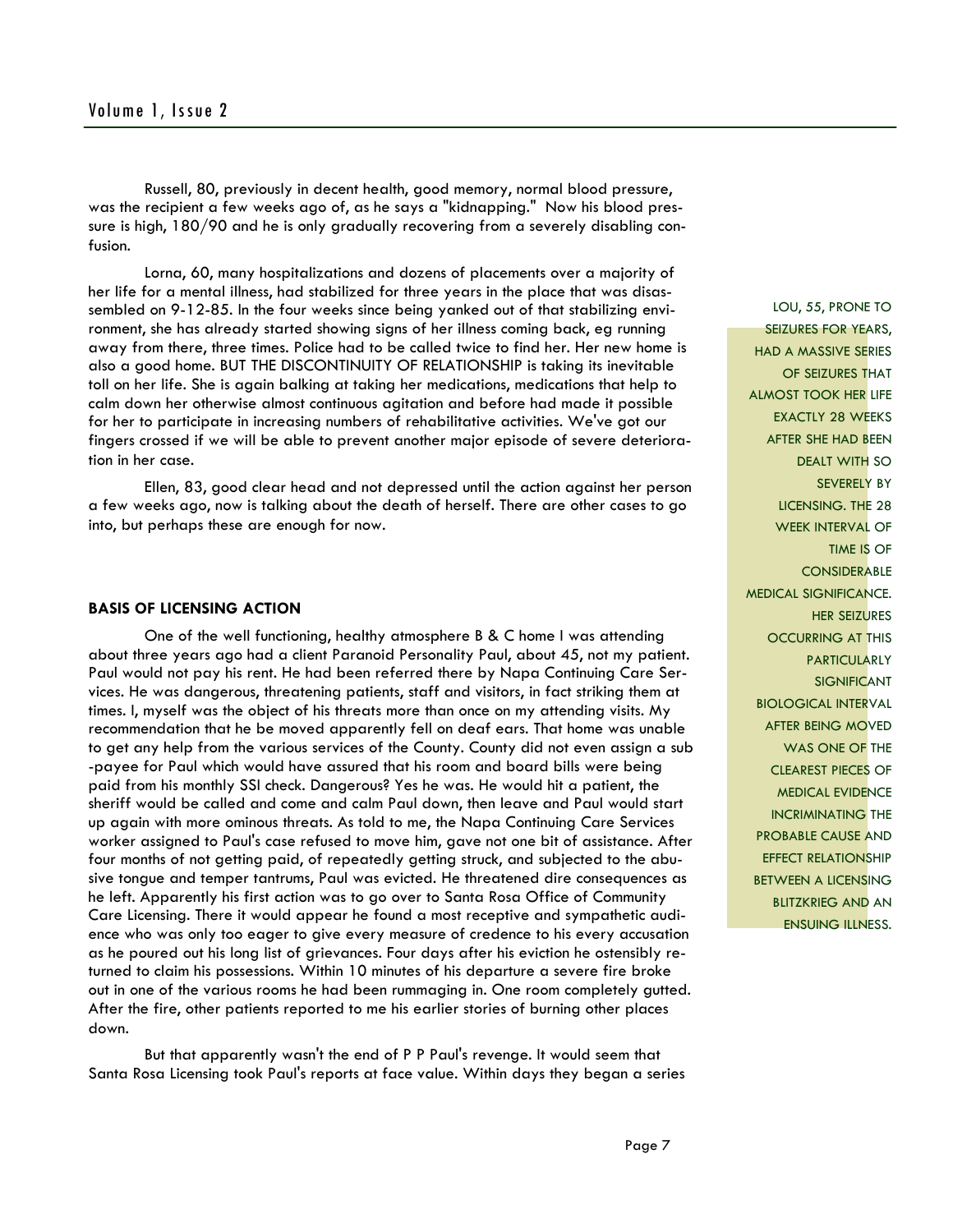Russell, 80, previously in decent health, good memory, normal blood pressure, was the recipient a few weeks ago of, as he says a "kidnapping." Now his blood pressure is high, 180/90 and he is only gradually recovering from a severely disabling confusion.

 Lorna, 60, many hospitalizations and dozens of placements over a majority of her life for a mental illness, had stabilized for three years in the place that was disassembled on 9-12-85. In the four weeks since being yanked out of that stabilizing environment, she has already started showing signs of her illness coming back, eg running away from there, three times. Police had to be called twice to find her. Her new home is also a good home. BUT THE DISCONTINUITY OF RELATIONSHIP is taking its inevitable toll on her life. She is again balking at taking her medications, medications that help to calm down her otherwise almost continuous agitation and before had made it possible for her to participate in increasing numbers of rehabilitative activities. We've got our fingers crossed if we will be able to prevent another major episode of severe deterioration in her case.

 Ellen, 83, good clear head and not depressed until the action against her person a few weeks ago, now is talking about the death of herself. There are other cases to go into, but perhaps these are enough for now.

#### **BASIS OF LICENSING ACTION**

 One of the well functioning, healthy atmosphere B & C home I was attending about three years ago had a client Paranoid Personality Paul, about 45, not my patient. Paul would not pay his rent. He had been referred there by Napa Continuing Care Services. He was dangerous, threatening patients, staff and visitors, in fact striking them at times. I, myself was the object of his threats more than once on my attending visits. My recommendation that he be moved apparently fell on deaf ears. That home was unable to get any help from the various services of the County. County did not even assign a sub -payee for Paul which would have assured that his room and board bills were being paid from his monthly SSI check. Dangerous? Yes he was. He would hit a patient, the sheriff would be called and come and calm Paul down, then leave and Paul would start up again with more ominous threats. As told to me, the Napa Continuing Care Services worker assigned to Paul's case refused to move him, gave not one bit of assistance. After four months of not getting paid, of repeatedly getting struck, and subjected to the abusive tongue and temper tantrums, Paul was evicted. He threatened dire consequences as he left. Apparently his first action was to go over to Santa Rosa Office of Community Care Licensing. There it would appear he found a most receptive and sympathetic audience who was only too eager to give every measure of credence to his every accusation as he poured out his long list of grievances. Four days after his eviction he ostensibly returned to claim his possessions. Within 10 minutes of his departure a severe fire broke out in one of the various rooms he had been rummaging in. One room completely gutted. After the fire, other patients reported to me his earlier stories of burning other places down.

 But that apparently wasn't the end of P P Paul's revenge. It would seem that Santa Rosa Licensing took Paul's reports at face value. Within days they began a series

LOU, 55, PRONE TO SEIZURES FOR YEARS, HAD A MASSIVE SERIES OF SEIZURES THAT ALMOST TOOK HER LIFE EXACTLY 28 WEEKS AFTER SHE HAD BEEN DEALT WITH SO SEVERELY BY LICENSING. THE 28 WEEK INTERVAL OF TIME IS OF **CONSIDERABLE** MEDICAL SIGNIFICANCE. HER SEIZURES OCCURRING AT THIS PARTICULARLY SIGNIFICANT BIOLOGICAL INTERVAL AFTER BEING MOVED WAS ONE OF THE CLEAREST PIECES OF MEDICAL EVIDENCE INCRIMINATING THE PROBABLE CAUSE AND EFFECT RELATIONSHIP BETWEEN A LICENSING BLITZKRIEG AND AN ENSUING ILLNESS.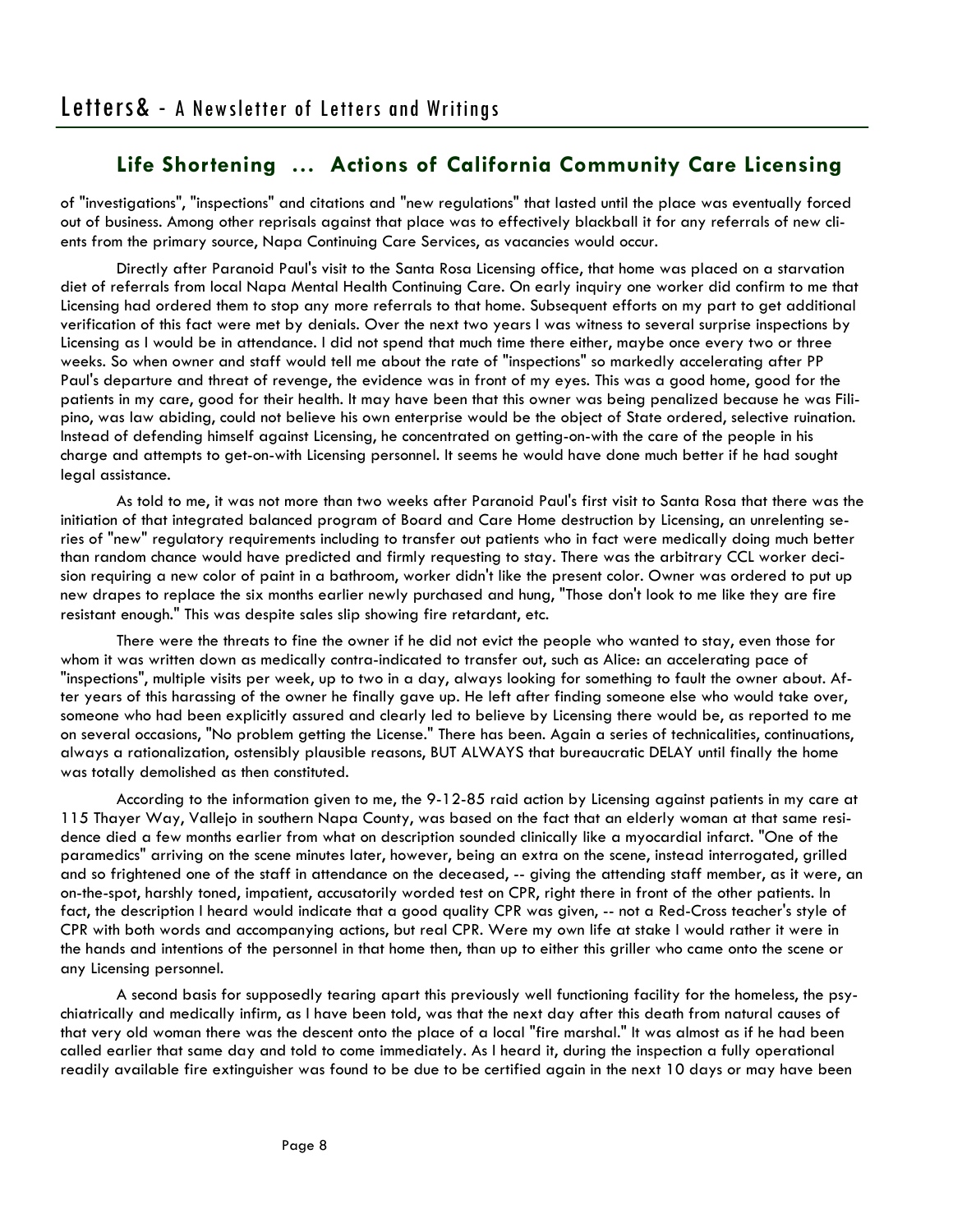of "investigations", "inspections" and citations and "new regulations" that lasted until the place was eventually forced out of business. Among other reprisals against that place was to effectively blackball it for any referrals of new clients from the primary source, Napa Continuing Care Services, as vacancies would occur.

 Directly after Paranoid Paul's visit to the Santa Rosa Licensing office, that home was placed on a starvation diet of referrals from local Napa Mental Health Continuing Care. On early inquiry one worker did confirm to me that Licensing had ordered them to stop any more referrals to that home. Subsequent efforts on my part to get additional verification of this fact were met by denials. Over the next two years I was witness to several surprise inspections by Licensing as I would be in attendance. I did not spend that much time there either, maybe once every two or three weeks. So when owner and staff would tell me about the rate of "inspections" so markedly accelerating after PP Paul's departure and threat of revenge, the evidence was in front of my eyes. This was a good home, good for the patients in my care, good for their health. It may have been that this owner was being penalized because he was Filipino, was law abiding, could not believe his own enterprise would be the object of State ordered, selective ruination. Instead of defending himself against Licensing, he concentrated on getting-on-with the care of the people in his charge and attempts to get-on-with Licensing personnel. It seems he would have done much better if he had sought legal assistance.

 As told to me, it was not more than two weeks after Paranoid Paul's first visit to Santa Rosa that there was the initiation of that integrated balanced program of Board and Care Home destruction by Licensing, an unrelenting series of "new" regulatory requirements including to transfer out patients who in fact were medically doing much better than random chance would have predicted and firmly requesting to stay. There was the arbitrary CCL worker decision requiring a new color of paint in a bathroom, worker didn't like the present color. Owner was ordered to put up new drapes to replace the six months earlier newly purchased and hung, "Those don't look to me like they are fire resistant enough." This was despite sales slip showing fire retardant, etc.

 There were the threats to fine the owner if he did not evict the people who wanted to stay, even those for whom it was written down as medically contra-indicated to transfer out, such as Alice: an accelerating pace of "inspections", multiple visits per week, up to two in a day, always looking for something to fault the owner about. After years of this harassing of the owner he finally gave up. He left after finding someone else who would take over, someone who had been explicitly assured and clearly led to believe by Licensing there would be, as reported to me on several occasions, "No problem getting the License." There has been. Again a series of technicalities, continuations, always a rationalization, ostensibly plausible reasons, BUT ALWAYS that bureaucratic DELAY until finally the home was totally demolished as then constituted.

 According to the information given to me, the 9-12-85 raid action by Licensing against patients in my care at 115 Thayer Way, Vallejo in southern Napa County, was based on the fact that an elderly woman at that same residence died a few months earlier from what on description sounded clinically like a myocardial infarct. "One of the paramedics" arriving on the scene minutes later, however, being an extra on the scene, instead interrogated, grilled and so frightened one of the staff in attendance on the deceased, -- giving the attending staff member, as it were, an on-the-spot, harshly toned, impatient, accusatorily worded test on CPR, right there in front of the other patients. In fact, the description I heard would indicate that a good quality CPR was given, -- not a Red-Cross teacher's style of CPR with both words and accompanying actions, but real CPR. Were my own life at stake I would rather it were in the hands and intentions of the personnel in that home then, than up to either this griller who came onto the scene or any Licensing personnel.

 A second basis for supposedly tearing apart this previously well functioning facility for the homeless, the psychiatrically and medically infirm, as I have been told, was that the next day after this death from natural causes of that very old woman there was the descent onto the place of a local "fire marshal." It was almost as if he had been called earlier that same day and told to come immediately. As I heard it, during the inspection a fully operational readily available fire extinguisher was found to be due to be certified again in the next 10 days or may have been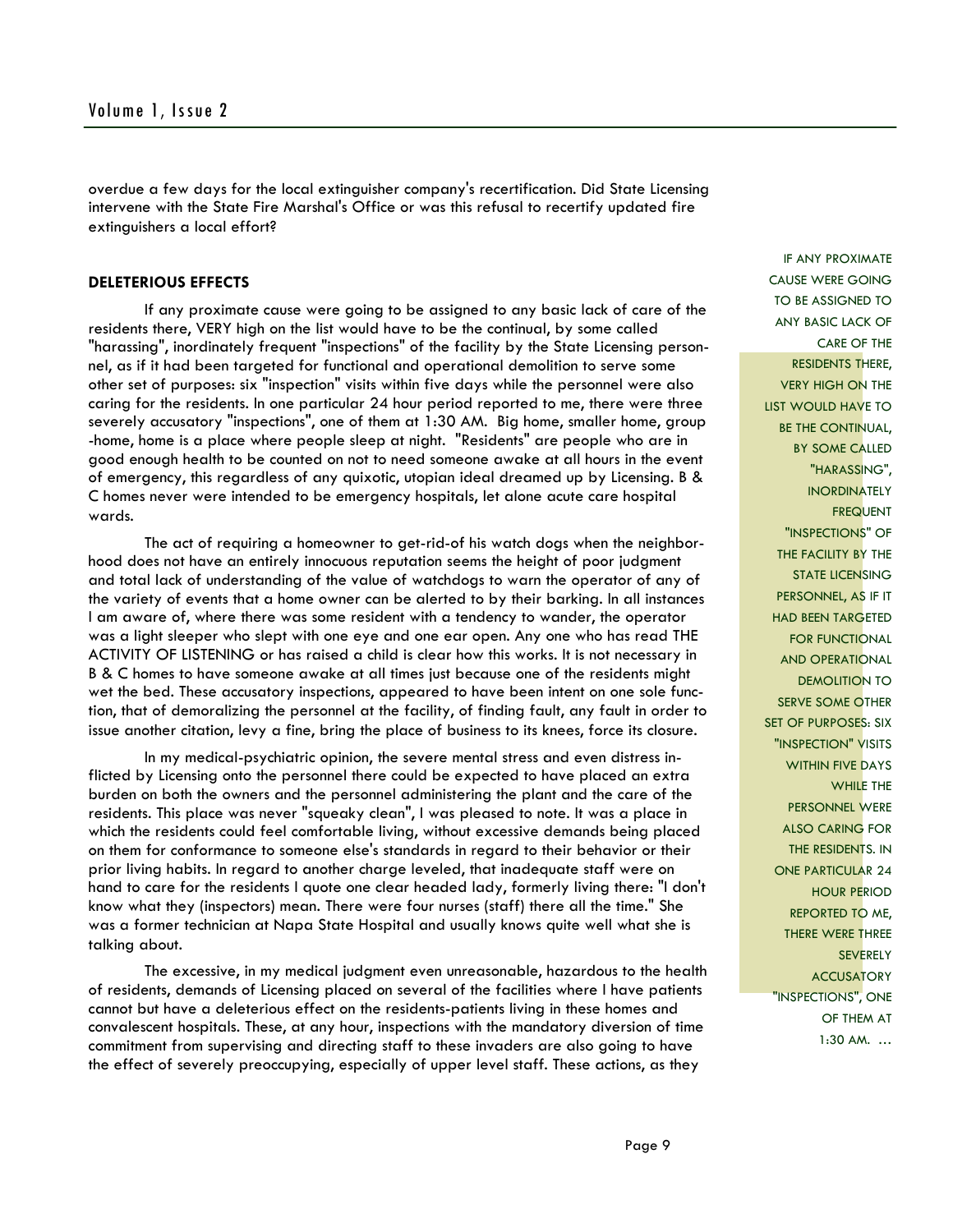overdue a few days for the local extinguisher company's recertification. Did State Licensing intervene with the State Fire Marshal's Office or was this refusal to recertify updated fire extinguishers a local effort?

#### **DELETERIOUS EFFECTS**

 If any proximate cause were going to be assigned to any basic lack of care of the residents there, VERY high on the list would have to be the continual, by some called "harassing", inordinately frequent "inspections" of the facility by the State Licensing personnel, as if it had been targeted for functional and operational demolition to serve some other set of purposes: six "inspection" visits within five days while the personnel were also caring for the residents. In one particular 24 hour period reported to me, there were three severely accusatory "inspections", one of them at 1:30 AM. Big home, smaller home, group -home, home is a place where people sleep at night. "Residents" are people who are in good enough health to be counted on not to need someone awake at all hours in the event of emergency, this regardless of any quixotic, utopian ideal dreamed up by Licensing. B & C homes never were intended to be emergency hospitals, let alone acute care hospital wards.

 The act of requiring a homeowner to get-rid-of his watch dogs when the neighborhood does not have an entirely innocuous reputation seems the height of poor judgment and total lack of understanding of the value of watchdogs to warn the operator of any of the variety of events that a home owner can be alerted to by their barking. In all instances I am aware of, where there was some resident with a tendency to wander, the operator was a light sleeper who slept with one eye and one ear open. Any one who has read THE ACTIVITY OF LISTENING or has raised a child is clear how this works. It is not necessary in B & C homes to have someone awake at all times just because one of the residents might wet the bed. These accusatory inspections, appeared to have been intent on one sole function, that of demoralizing the personnel at the facility, of finding fault, any fault in order to issue another citation, levy a fine, bring the place of business to its knees, force its closure.

In my medical-psychiatric opinion, the severe mental stress and even distress inflicted by Licensing onto the personnel there could be expected to have placed an extra burden on both the owners and the personnel administering the plant and the care of the residents. This place was never "squeaky clean", I was pleased to note. It was a place in which the residents could feel comfortable living, without excessive demands being placed on them for conformance to someone else's standards in regard to their behavior or their prior living habits. In regard to another charge leveled, that inadequate staff were on hand to care for the residents I quote one clear headed lady, formerly living there: "I don't know what they (inspectors) mean. There were four nurses (staff) there all the time." She was a former technician at Napa State Hospital and usually knows quite well what she is talking about.

 The excessive, in my medical judgment even unreasonable, hazardous to the health of residents, demands of Licensing placed on several of the facilities where I have patients cannot but have a deleterious effect on the residents-patients living in these homes and convalescent hospitals. These, at any hour, inspections with the mandatory diversion of time commitment from supervising and directing staff to these invaders are also going to have the effect of severely preoccupying, especially of upper level staff. These actions, as they

IF ANY PROXIMATE CAUSE WERE GOING TO BE ASSIGNED TO ANY BASIC LACK OF CARE OF THE RESIDENTS THERE, VERY HIGH ON THE LIST WOULD HAVE TO BE THE CONTINUAL, BY SOME CALLED "HARASSING", INORDINATELY **FREQUENT** "INSPECTIONS" OF THE FACILITY BY THE STATE LICENSING PERSONNEL, AS IF IT HAD BEEN TARGETED FOR FUNCTIONAL AND OPERATIONAL DEMOLITION TO SERVE SOME OTHER SET OF PURPOSES: SIX "INSPECTION" VISITS WITHIN FIVE DAYS WHILE THE PERSONNEL WERE ALSO CARING FOR THE RESIDENTS. IN ONE PARTICULAR 24 HOUR PERIOD REPORTED TO ME, THERE WERE THREE **SEVERELY ACCUSATORY** "INSPECTIONS", ONE OF THEM AT 1:30 AM. …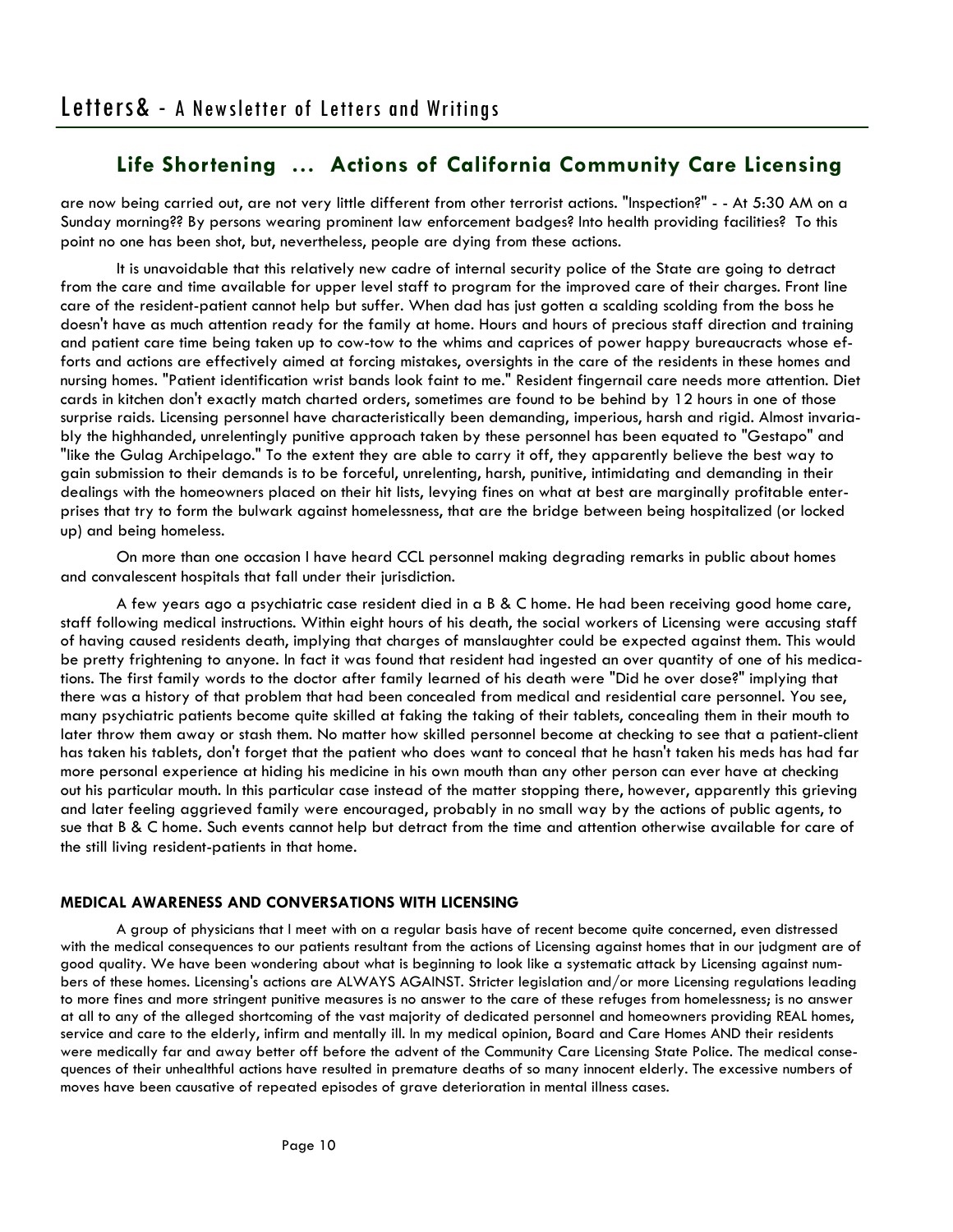are now being carried out, are not very little different from other terrorist actions. "Inspection?" - - At 5:30 AM on a Sunday morning?? By persons wearing prominent law enforcement badges? Into health providing facilities? To this point no one has been shot, but, nevertheless, people are dying from these actions.

 It is unavoidable that this relatively new cadre of internal security police of the State are going to detract from the care and time available for upper level staff to program for the improved care of their charges. Front line care of the resident-patient cannot help but suffer. When dad has just gotten a scalding scolding from the boss he doesn't have as much attention ready for the family at home. Hours and hours of precious staff direction and training and patient care time being taken up to cow-tow to the whims and caprices of power happy bureaucracts whose efforts and actions are effectively aimed at forcing mistakes, oversights in the care of the residents in these homes and nursing homes. "Patient identification wrist bands look faint to me." Resident fingernail care needs more attention. Diet cards in kitchen don't exactly match charted orders, sometimes are found to be behind by 12 hours in one of those surprise raids. Licensing personnel have characteristically been demanding, imperious, harsh and rigid. Almost invariably the highhanded, unrelentingly punitive approach taken by these personnel has been equated to "Gestapo" and "like the Gulag Archipelago." To the extent they are able to carry it off, they apparently believe the best way to gain submission to their demands is to be forceful, unrelenting, harsh, punitive, intimidating and demanding in their dealings with the homeowners placed on their hit lists, levying fines on what at best are marginally profitable enterprises that try to form the bulwark against homelessness, that are the bridge between being hospitalized (or locked up) and being homeless.

 On more than one occasion I have heard CCL personnel making degrading remarks in public about homes and convalescent hospitals that fall under their jurisdiction.

 A few years ago a psychiatric case resident died in a B & C home. He had been receiving good home care, staff following medical instructions. Within eight hours of his death, the social workers of Licensing were accusing staff of having caused residents death, implying that charges of manslaughter could be expected against them. This would be pretty frightening to anyone. In fact it was found that resident had ingested an over quantity of one of his medications. The first family words to the doctor after family learned of his death were "Did he over dose?" implying that there was a history of that problem that had been concealed from medical and residential care personnel. You see, many psychiatric patients become quite skilled at faking the taking of their tablets, concealing them in their mouth to later throw them away or stash them. No matter how skilled personnel become at checking to see that a patient-client has taken his tablets, don't forget that the patient who does want to conceal that he hasn't taken his meds has had far more personal experience at hiding his medicine in his own mouth than any other person can ever have at checking out his particular mouth. In this particular case instead of the matter stopping there, however, apparently this grieving and later feeling aggrieved family were encouraged, probably in no small way by the actions of public agents, to sue that B & C home. Such events cannot help but detract from the time and attention otherwise available for care of the still living resident-patients in that home.

## **MEDICAL AWARENESS AND CONVERSATIONS WITH LICENSING**

 A group of physicians that I meet with on a regular basis have of recent become quite concerned, even distressed with the medical consequences to our patients resultant from the actions of Licensing against homes that in our judgment are of good quality. We have been wondering about what is beginning to look like a systematic attack by Licensing against numbers of these homes. Licensing's actions are ALWAYS AGAINST. Stricter legislation and/or more Licensing regulations leading to more fines and more stringent punitive measures is no answer to the care of these refuges from homelessness; is no answer at all to any of the alleged shortcoming of the vast majority of dedicated personnel and homeowners providing REAL homes, service and care to the elderly, infirm and mentally ill. In my medical opinion, Board and Care Homes AND their residents were medically far and away better off before the advent of the Community Care Licensing State Police. The medical consequences of their unhealthful actions have resulted in premature deaths of so many innocent elderly. The excessive numbers of moves have been causative of repeated episodes of grave deterioration in mental illness cases.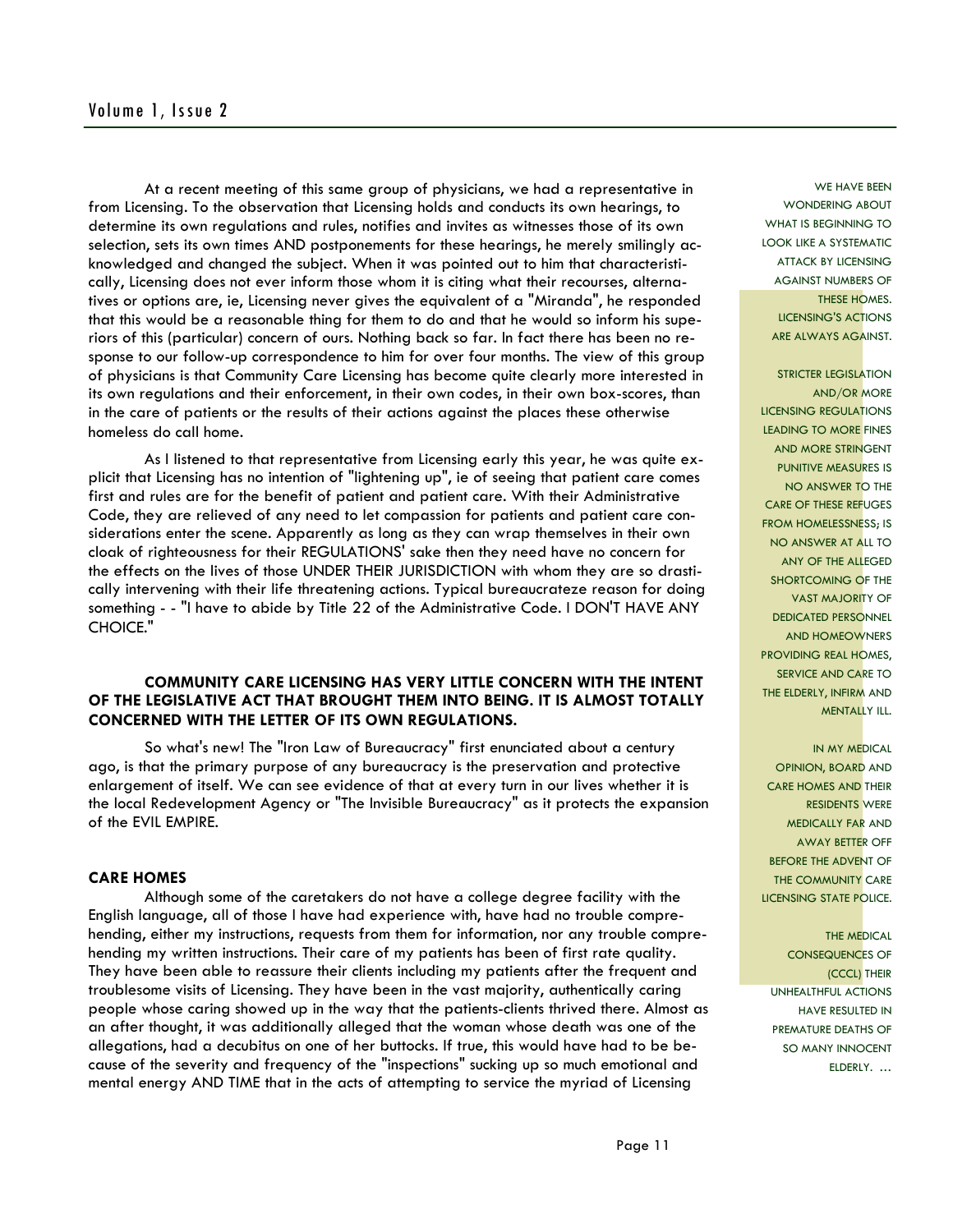At a recent meeting of this same group of physicians, we had a representative in from Licensing. To the observation that Licensing holds and conducts its own hearings, to determine its own regulations and rules, notifies and invites as witnesses those of its own selection, sets its own times AND postponements for these hearings, he merely smilingly acknowledged and changed the subject. When it was pointed out to him that characteristically, Licensing does not ever inform those whom it is citing what their recourses, alternatives or options are, ie, Licensing never gives the equivalent of a "Miranda", he responded that this would be a reasonable thing for them to do and that he would so inform his superiors of this (particular) concern of ours. Nothing back so far. In fact there has been no response to our follow-up correspondence to him for over four months. The view of this group of physicians is that Community Care Licensing has become quite clearly more interested in its own regulations and their enforcement, in their own codes, in their own box-scores, than in the care of patients or the results of their actions against the places these otherwise homeless do call home.

 As I listened to that representative from Licensing early this year, he was quite explicit that Licensing has no intention of "lightening up", ie of seeing that patient care comes first and rules are for the benefit of patient and patient care. With their Administrative Code, they are relieved of any need to let compassion for patients and patient care considerations enter the scene. Apparently as long as they can wrap themselves in their own cloak of righteousness for their REGULATIONS' sake then they need have no concern for the effects on the lives of those UNDER THEIR JURISDICTION with whom they are so drastically intervening with their life threatening actions. Typical bureaucrateze reason for doing something - - "I have to abide by Title 22 of the Administrative Code. I DON'T HAVE ANY CHOICE."

## **COMMUNITY CARE LICENSING HAS VERY LITTLE CONCERN WITH THE INTENT OF THE LEGISLATIVE ACT THAT BROUGHT THEM INTO BEING. IT IS ALMOST TOTALLY CONCERNED WITH THE LETTER OF ITS OWN REGULATIONS.**

 So what's new! The "Iron Law of Bureaucracy" first enunciated about a century ago, is that the primary purpose of any bureaucracy is the preservation and protective enlargement of itself. We can see evidence of that at every turn in our lives whether it is the local Redevelopment Agency or "The Invisible Bureaucracy" as it protects the expansion of the EVIL EMPIRE.

#### **CARE HOMES**

 Although some of the caretakers do not have a college degree facility with the English language, all of those I have had experience with, have had no trouble comprehending, either my instructions, requests from them for information, nor any trouble comprehending my written instructions. Their care of my patients has been of first rate quality. They have been able to reassure their clients including my patients after the frequent and troublesome visits of Licensing. They have been in the vast majority, authentically caring people whose caring showed up in the way that the patients-clients thrived there. Almost as an after thought, it was additionally alleged that the woman whose death was one of the allegations, had a decubitus on one of her buttocks. If true, this would have had to be because of the severity and frequency of the "inspections" sucking up so much emotional and mental energy AND TIME that in the acts of attempting to service the myriad of Licensing

WE HAVE BEEN WONDERING ABOUT WHAT IS BEGINNING TO LOOK LIKE A SYSTEMATIC ATTACK BY LICENSING AGAINST NUMBERS OF THESE HOMES. LICENSING'S ACTIONS ARE ALWAYS AGAINST.

**STRICTER LEGISLATION** AND/OR MORE LICENSING REGULATIONS LEADING TO MORE FINES AND MORE STRINGENT PUNITIVE MEASURES IS NO ANSWER TO THE CARE OF THESE REFUGES FROM HOMELESSNESS; IS NO ANSWER AT ALL TO ANY OF THE ALLEGED SHORTCOMING OF THE VAST MAJORITY OF DEDICATED PERSONNEL AND HOMEOWNERS PROVIDING REAL HOMES, SERVICE AND CARE TO THE ELDERLY, INFIRM AND MENTALLY ILL.

IN MY MEDICAL OPINION, BOARD AND CARE HOMES AND THEIR RESIDENTS WERE MEDICALLY FAR AND AWAY BETTER OFF BEFORE THE ADVENT OF THE COMMUNITY CARE LICENSING STATE POLICE.

THE MEDICAL CONSEQUENCES OF (CCCL) THEIR UNHEALTHFUL ACTIONS HAVE RESULTED IN PREMATURE DEATHS OF SO MANY INNOCENT ELDERLY. …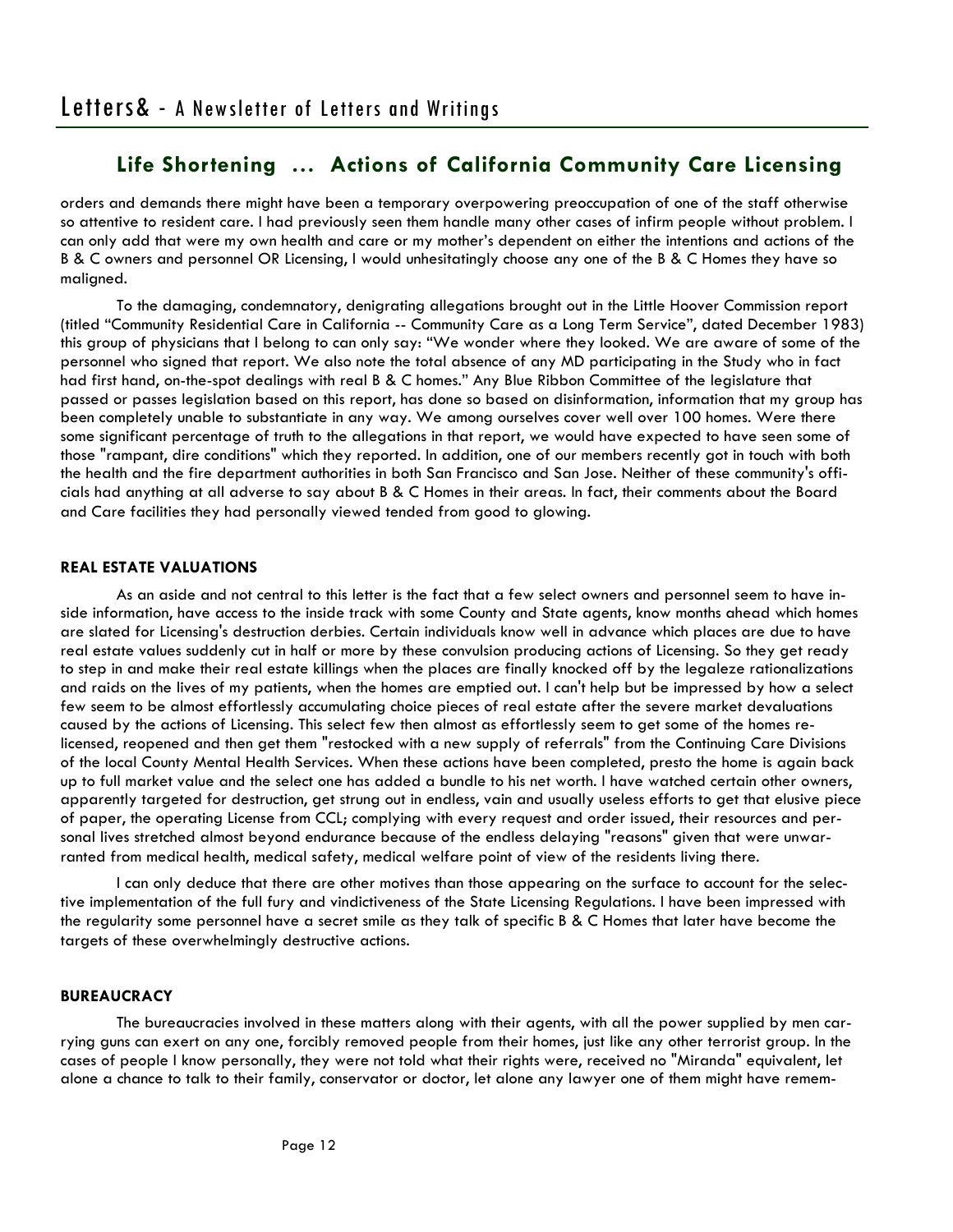orders and demands there might have been a temporary overpowering preoccupation of one of the staff otherwise so attentive to resident care. I had previously seen them handle many other cases of infirm people without problem. I can only add that were my own health and care or my mother's dependent on either the intentions and actions of the B & C owners and personnel OR Licensing, I would unhesitatingly choose any one of the B & C Homes they have so maligned.

 To the damaging, condemnatory, denigrating allegations brought out in the Little Hoover Commission report (titled "Community Residential Care in California -- Community Care as a Long Term Service", dated December 1983) this group of physicians that I belong to can only say: "We wonder where they looked. We are aware of some of the personnel who signed that report. We also note the total absence of any MD participating in the Study who in fact had first hand, on-the-spot dealings with real B & C homes." Any Blue Ribbon Committee of the legislature that passed or passes legislation based on this report, has done so based on disinformation, information that my group has been completely unable to substantiate in any way. We among ourselves cover well over 100 homes. Were there some significant percentage of truth to the allegations in that report, we would have expected to have seen some of those "rampant, dire conditions" which they reported. In addition, one of our members recently got in touch with both the health and the fire department authorities in both San Francisco and San Jose. Neither of these community's officials had anything at all adverse to say about B & C Homes in their areas. In fact, their comments about the Board and Care facilities they had personally viewed tended from good to glowing.

## **REAL ESTATE VALUATIONS**

 As an aside and not central to this letter is the fact that a few select owners and personnel seem to have inside information, have access to the inside track with some County and State agents, know months ahead which homes are slated for Licensing's destruction derbies. Certain individuals know well in advance which places are due to have real estate values suddenly cut in half or more by these convulsion producing actions of Licensing. So they get ready to step in and make their real estate killings when the places are finally knocked off by the legaleze rationalizations and raids on the lives of my patients, when the homes are emptied out. I can't help but be impressed by how a select few seem to be almost effortlessly accumulating choice pieces of real estate after the severe market devaluations caused by the actions of Licensing. This select few then almost as effortlessly seem to get some of the homes relicensed, reopened and then get them "restocked with a new supply of referrals" from the Continuing Care Divisions of the local County Mental Health Services. When these actions have been completed, presto the home is again back up to full market value and the select one has added a bundle to his net worth. I have watched certain other owners, apparently targeted for destruction, get strung out in endless, vain and usually useless efforts to get that elusive piece of paper, the operating License from CCL; complying with every request and order issued, their resources and personal lives stretched almost beyond endurance because of the endless delaying "reasons" given that were unwarranted from medical health, medical safety, medical welfare point of view of the residents living there.

 I can only deduce that there are other motives than those appearing on the surface to account for the selective implementation of the full fury and vindictiveness of the State Licensing Regulations. I have been impressed with the regularity some personnel have a secret smile as they talk of specific B & C Homes that later have become the targets of these overwhelmingly destructive actions.

#### **BUREAUCRACY**

 The bureaucracies involved in these matters along with their agents, with all the power supplied by men carrying guns can exert on any one, forcibly removed people from their homes, just like any other terrorist group. In the cases of people I know personally, they were not told what their rights were, received no "Miranda" equivalent, let alone a chance to talk to their family, conservator or doctor, let alone any lawyer one of them might have remem-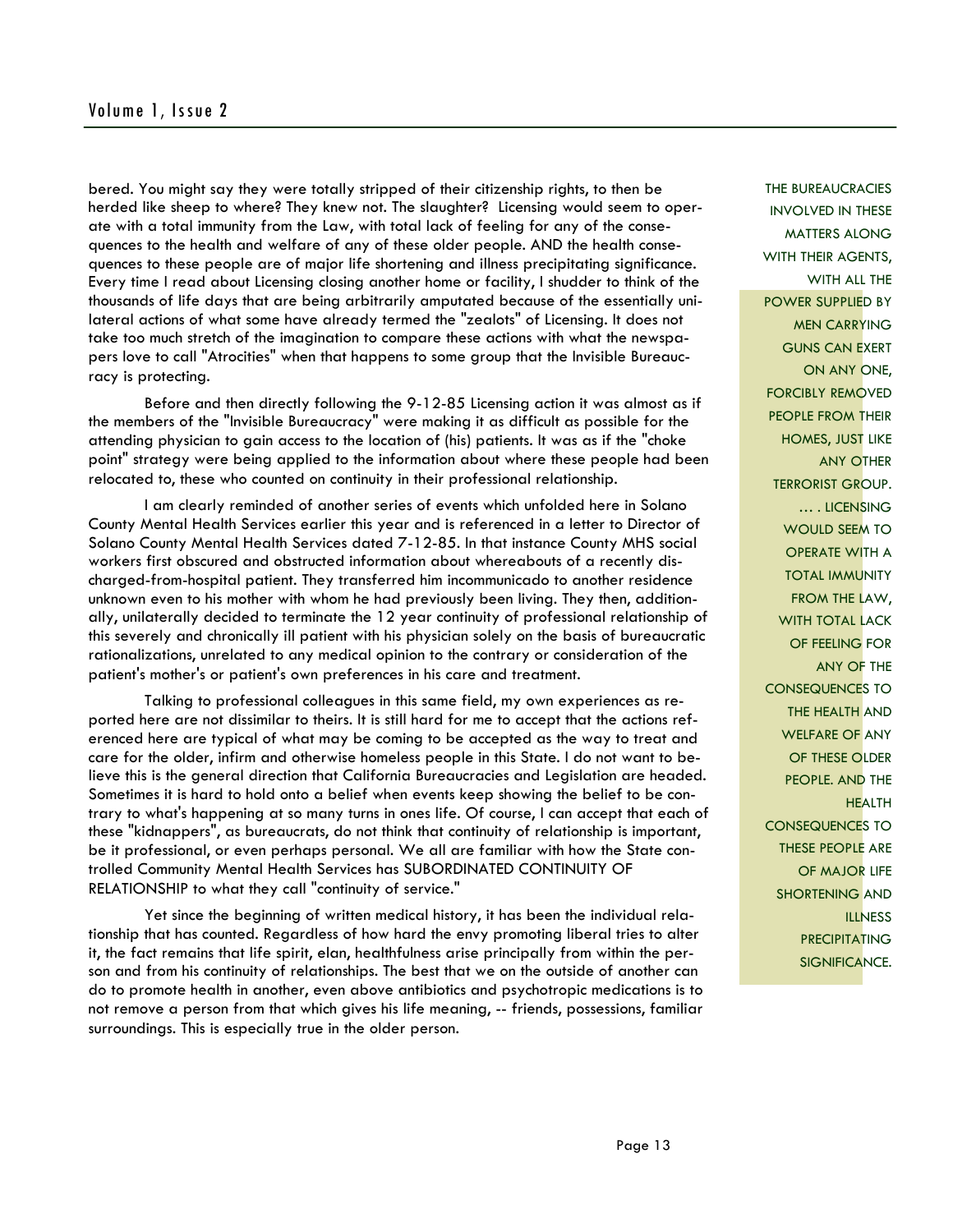# Volume 1, Issue 2

bered. You might say they were totally stripped of their citizenship rights, to then be herded like sheep to where? They knew not. The slaughter? Licensing would seem to operate with a total immunity from the Law, with total lack of feeling for any of the consequences to the health and welfare of any of these older people. AND the health consequences to these people are of major life shortening and illness precipitating significance. Every time I read about Licensing closing another home or facility, I shudder to think of the thousands of life days that are being arbitrarily amputated because of the essentially unilateral actions of what some have already termed the "zealots" of Licensing. It does not take too much stretch of the imagination to compare these actions with what the newspapers love to call "Atrocities" when that happens to some group that the Invisible Bureaucracy is protecting.

 Before and then directly following the 9-12-85 Licensing action it was almost as if the members of the "Invisible Bureaucracy" were making it as difficult as possible for the attending physician to gain access to the location of (his) patients. It was as if the "choke point" strategy were being applied to the information about where these people had been relocated to, these who counted on continuity in their professional relationship.

 I am clearly reminded of another series of events which unfolded here in Solano County Mental Health Services earlier this year and is referenced in a letter to Director of Solano County Mental Health Services dated 7-12-85. In that instance County MHS social workers first obscured and obstructed information about whereabouts of a recently discharged-from-hospital patient. They transferred him incommunicado to another residence unknown even to his mother with whom he had previously been living. They then, additionally, unilaterally decided to terminate the 12 year continuity of professional relationship of this severely and chronically ill patient with his physician solely on the basis of bureaucratic rationalizations, unrelated to any medical opinion to the contrary or consideration of the patient's mother's or patient's own preferences in his care and treatment.

 Talking to professional colleagues in this same field, my own experiences as reported here are not dissimilar to theirs. It is still hard for me to accept that the actions referenced here are typical of what may be coming to be accepted as the way to treat and care for the older, infirm and otherwise homeless people in this State. I do not want to believe this is the general direction that California Bureaucracies and Legislation are headed. Sometimes it is hard to hold onto a belief when events keep showing the belief to be contrary to what's happening at so many turns in ones life. Of course, I can accept that each of these "kidnappers", as bureaucrats, do not think that continuity of relationship is important, be it professional, or even perhaps personal. We all are familiar with how the State controlled Community Mental Health Services has SUBORDINATED CONTINUITY OF RELATIONSHIP to what they call "continuity of service."

 Yet since the beginning of written medical history, it has been the individual relationship that has counted. Regardless of how hard the envy promoting liberal tries to alter it, the fact remains that life spirit, elan, healthfulness arise principally from within the person and from his continuity of relationships. The best that we on the outside of another can do to promote health in another, even above antibiotics and psychotropic medications is to not remove a person from that which gives his life meaning, -- friends, possessions, familiar surroundings. This is especially true in the older person.

THE BUREAUCRACIES INVOLVED IN THESE MATTERS ALONG WITH THEIR AGENTS, WITH ALL THE POWER SUPPLIED BY MEN CARRYING GUNS CAN EXERT ON ANY ONE, FORCIBLY REMOVED PEOPLE FROM THEIR HOMES, JUST LIKE ANY OTHER TERRORIST GROUP. … . LICENSING WOULD SEEM TO OPERATE WITH A TOTAL IMMUNITY FROM THE LAW, WITH TOTAL LACK OF FEELING FOR ANY OF THE CONSEQUENCES TO THE HEALTH AND WELFARE OF ANY OF THESE OLDER PEOPLE. AND THE **HEALTH** CONSEQUENCES TO THESE PEOPLE ARE OF MAJOR LIFE SHORTENING AND **ILLNESS** PRECIPITATING SIGNIFICANCE.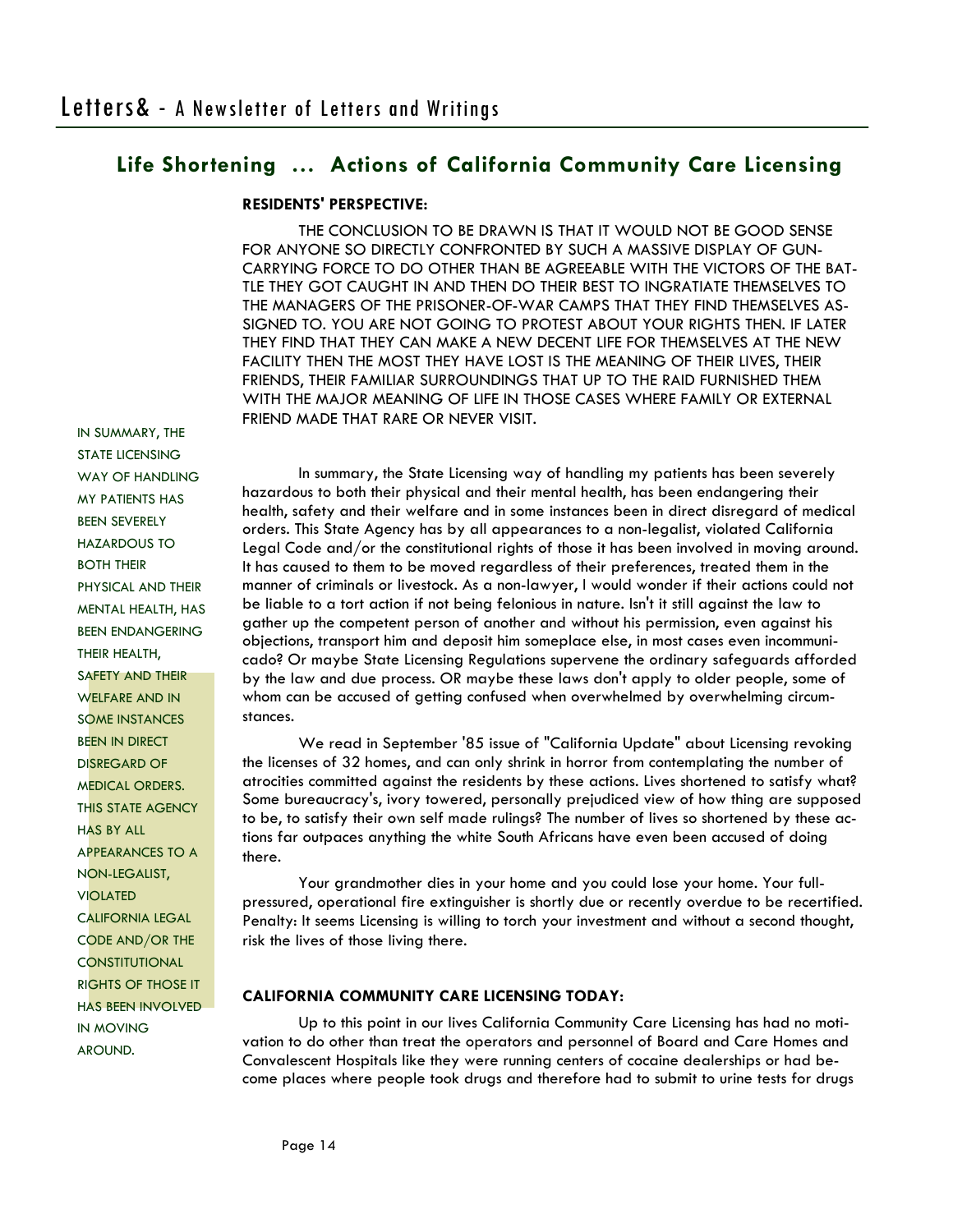## **RESIDENTS' PERSPECTIVE:**

 THE CONCLUSION TO BE DRAWN IS THAT IT WOULD NOT BE GOOD SENSE FOR ANYONE SO DIRECTLY CONFRONTED BY SUCH A MASSIVE DISPLAY OF GUN-CARRYING FORCE TO DO OTHER THAN BE AGREEABLE WITH THE VICTORS OF THE BAT-TLE THEY GOT CAUGHT IN AND THEN DO THEIR BEST TO INGRATIATE THEMSELVES TO THE MANAGERS OF THE PRISONER-OF-WAR CAMPS THAT THEY FIND THEMSELVES AS-SIGNED TO. YOU ARE NOT GOING TO PROTEST ABOUT YOUR RIGHTS THEN. IF LATER THEY FIND THAT THEY CAN MAKE A NEW DECENT LIFE FOR THEMSELVES AT THE NEW FACILITY THEN THE MOST THEY HAVE LOST IS THE MEANING OF THEIR LIVES, THEIR FRIENDS, THEIR FAMILIAR SURROUNDINGS THAT UP TO THE RAID FURNISHED THEM WITH THE MAJOR MEANING OF LIFE IN THOSE CASES WHERE FAMILY OR EXTERNAL FRIEND MADE THAT RARE OR NEVER VISIT.

IN SUMMARY, THE STATE LICENSING WAY OF HANDLING MY PATIENTS HAS BEEN SEVERELY HAZARDOUS TO BOTH THEIR PHYSICAL AND THEIR MENTAL HEALTH, HAS BEEN ENDANGERING THEIR HEALTH, SAFETY AND THEIR WELFARE AND IN SOME INSTANCES BEEN IN DIRECT DISREGARD OF MEDICAL ORDERS. THIS STATE AGENCY HAS BY ALL APPEARANCES TO A NON-LEGALIST, VIOLATED CALIFORNIA LEGAL CODE AND/OR THE **CONSTITUTIONAL** RIGHTS OF THOSE IT HAS BEEN INVOLVED IN MOVING AROUND.

 In summary, the State Licensing way of handling my patients has been severely hazardous to both their physical and their mental health, has been endangering their health, safety and their welfare and in some instances been in direct disregard of medical orders. This State Agency has by all appearances to a non-legalist, violated California Legal Code and/or the constitutional rights of those it has been involved in moving around. It has caused to them to be moved regardless of their preferences, treated them in the manner of criminals or livestock. As a non-lawyer, I would wonder if their actions could not be liable to a tort action if not being felonious in nature. Isn't it still against the law to gather up the competent person of another and without his permission, even against his objections, transport him and deposit him someplace else, in most cases even incommunicado? Or maybe State Licensing Regulations supervene the ordinary safeguards afforded by the law and due process. OR maybe these laws don't apply to older people, some of whom can be accused of getting confused when overwhelmed by overwhelming circumstances.

 We read in September '85 issue of "California Update" about Licensing revoking the licenses of 32 homes, and can only shrink in horror from contemplating the number of atrocities committed against the residents by these actions. Lives shortened to satisfy what? Some bureaucracy's, ivory towered, personally prejudiced view of how thing are supposed to be, to satisfy their own self made rulings? The number of lives so shortened by these actions far outpaces anything the white South Africans have even been accused of doing there.

 Your grandmother dies in your home and you could lose your home. Your fullpressured, operational fire extinguisher is shortly due or recently overdue to be recertified. Penalty: It seems Licensing is willing to torch your investment and without a second thought, risk the lives of those living there.

## **CALIFORNIA COMMUNITY CARE LICENSING TODAY:**

 Up to this point in our lives California Community Care Licensing has had no motivation to do other than treat the operators and personnel of Board and Care Homes and Convalescent Hospitals like they were running centers of cocaine dealerships or had become places where people took drugs and therefore had to submit to urine tests for drugs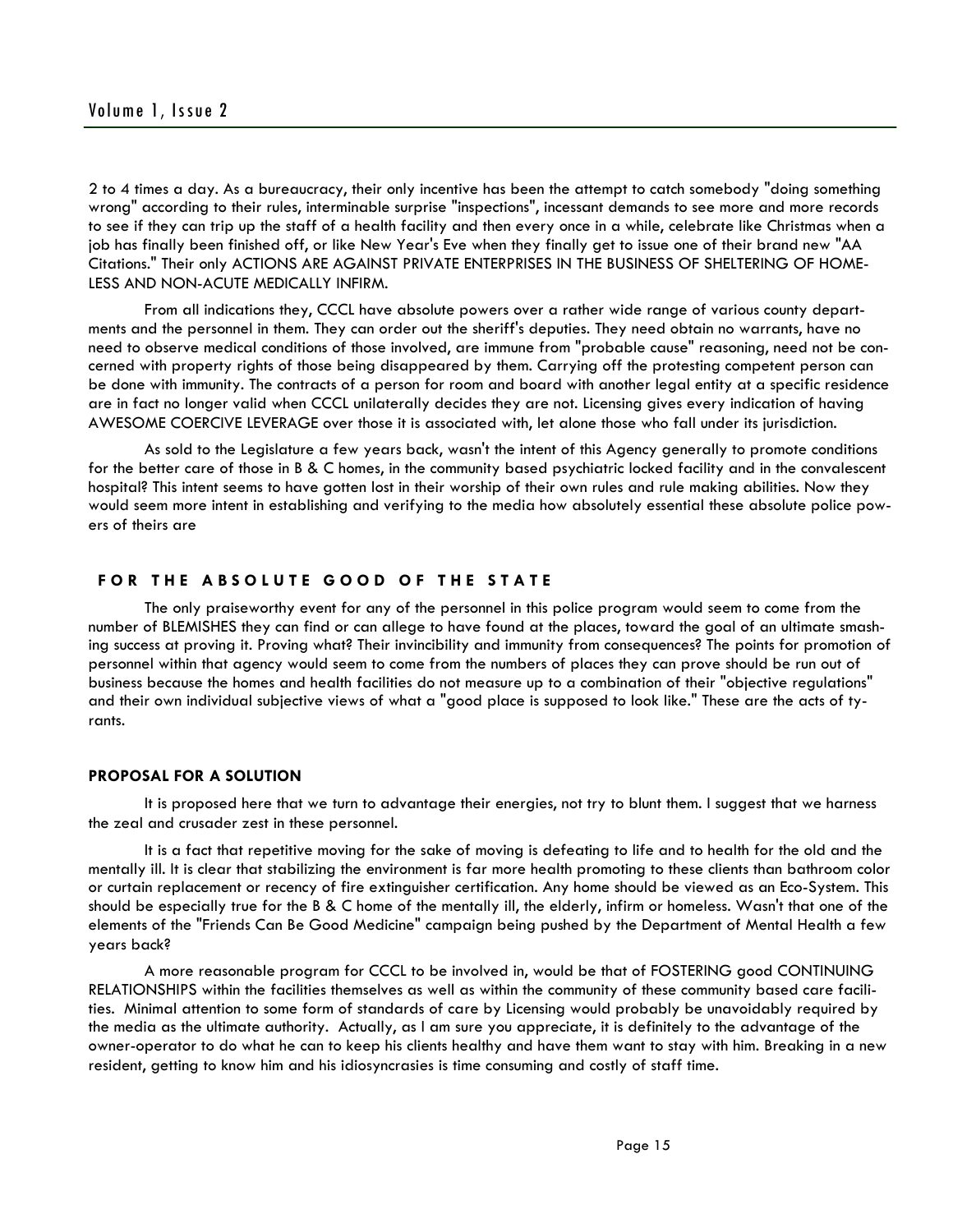2 to 4 times a day. As a bureaucracy, their only incentive has been the attempt to catch somebody "doing something wrong" according to their rules, interminable surprise "inspections", incessant demands to see more and more records to see if they can trip up the staff of a health facility and then every once in a while, celebrate like Christmas when a job has finally been finished off, or like New Year's Eve when they finally get to issue one of their brand new "AA Citations." Their only ACTIONS ARE AGAINST PRIVATE ENTERPRISES IN THE BUSINESS OF SHELTERING OF HOME-LESS AND NON-ACUTE MEDICALLY INFIRM.

 From all indications they, CCCL have absolute powers over a rather wide range of various county departments and the personnel in them. They can order out the sheriff's deputies. They need obtain no warrants, have no need to observe medical conditions of those involved, are immune from "probable cause" reasoning, need not be concerned with property rights of those being disappeared by them. Carrying off the protesting competent person can be done with immunity. The contracts of a person for room and board with another legal entity at a specific residence are in fact no longer valid when CCCL unilaterally decides they are not. Licensing gives every indication of having AWESOME COERCIVE LEVERAGE over those it is associated with, let alone those who fall under its jurisdiction.

 As sold to the Legislature a few years back, wasn't the intent of this Agency generally to promote conditions for the better care of those in B & C homes, in the community based psychiatric locked facility and in the convalescent hospital? This intent seems to have gotten lost in their worship of their own rules and rule making abilities. Now they would seem more intent in establishing and verifying to the media how absolutely essential these absolute police powers of theirs are

## FOR THE ABSOLUTE GOOD OF THE STATE

 The only praiseworthy event for any of the personnel in this police program would seem to come from the number of BLEMISHES they can find or can allege to have found at the places, toward the goal of an ultimate smashing success at proving it. Proving what? Their invincibility and immunity from consequences? The points for promotion of personnel within that agency would seem to come from the numbers of places they can prove should be run out of business because the homes and health facilities do not measure up to a combination of their "objective regulations" and their own individual subjective views of what a "good place is supposed to look like." These are the acts of tyrants.

#### **PROPOSAL FOR A SOLUTION**

 It is proposed here that we turn to advantage their energies, not try to blunt them. I suggest that we harness the zeal and crusader zest in these personnel.

 It is a fact that repetitive moving for the sake of moving is defeating to life and to health for the old and the mentally ill. It is clear that stabilizing the environment is far more health promoting to these clients than bathroom color or curtain replacement or recency of fire extinguisher certification. Any home should be viewed as an Eco-System. This should be especially true for the B & C home of the mentally ill, the elderly, infirm or homeless. Wasn't that one of the elements of the "Friends Can Be Good Medicine" campaign being pushed by the Department of Mental Health a few years back?

 A more reasonable program for CCCL to be involved in, would be that of FOSTERING good CONTINUING RELATIONSHIPS within the facilities themselves as well as within the community of these community based care facilities. Minimal attention to some form of standards of care by Licensing would probably be unavoidably required by the media as the ultimate authority. Actually, as I am sure you appreciate, it is definitely to the advantage of the owner-operator to do what he can to keep his clients healthy and have them want to stay with him. Breaking in a new resident, getting to know him and his idiosyncrasies is time consuming and costly of staff time.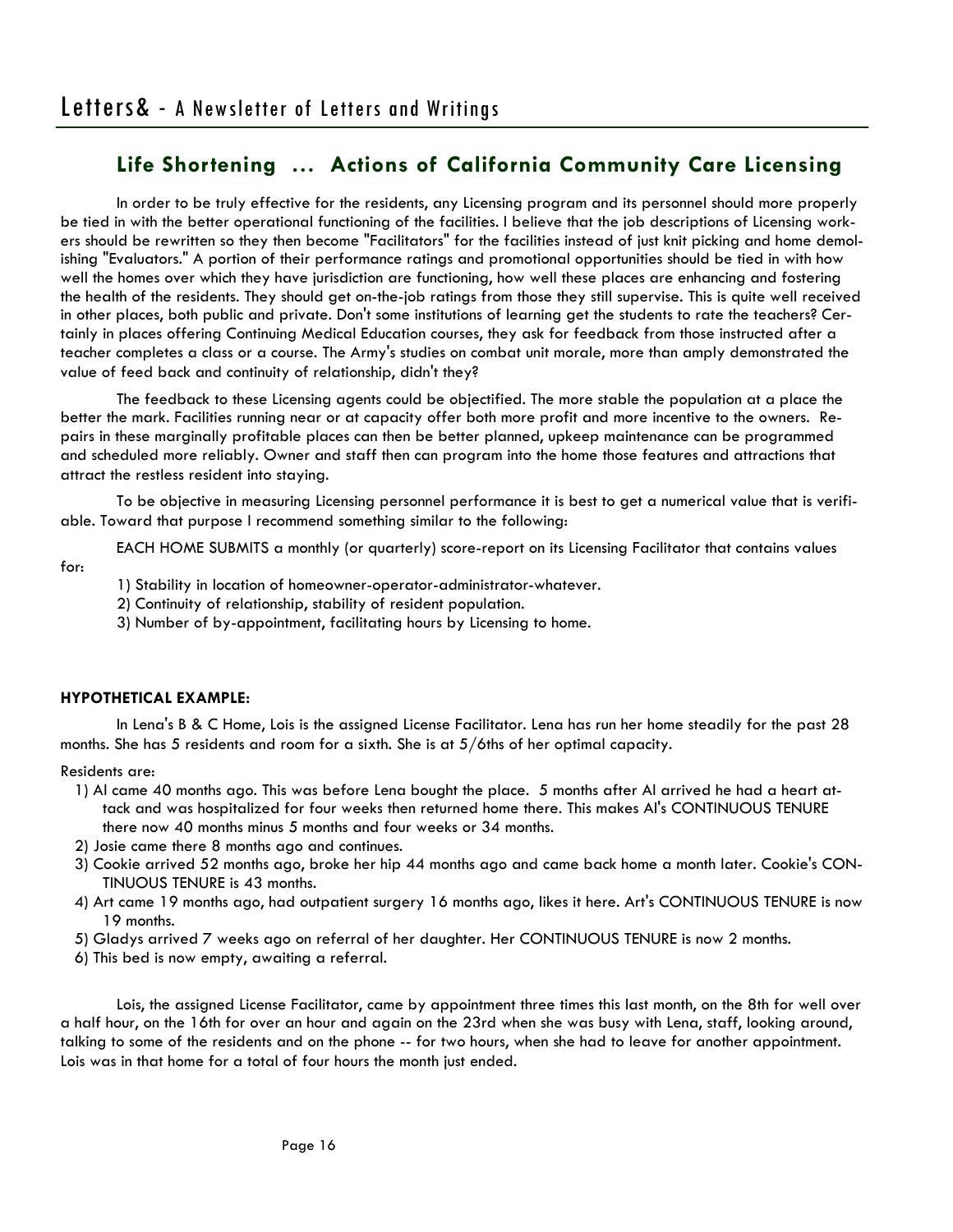In order to be truly effective for the residents, any Licensing program and its personnel should more properly be tied in with the better operational functioning of the facilities. I believe that the job descriptions of Licensing workers should be rewritten so they then become "Facilitators" for the facilities instead of just knit picking and home demolishing "Evaluators." A portion of their performance ratings and promotional opportunities should be tied in with how well the homes over which they have jurisdiction are functioning, how well these places are enhancing and fostering the health of the residents. They should get on-the-job ratings from those they still supervise. This is quite well received in other places, both public and private. Don't some institutions of learning get the students to rate the teachers? Certainly in places offering Continuing Medical Education courses, they ask for feedback from those instructed after a teacher completes a class or a course. The Army's studies on combat unit morale, more than amply demonstrated the value of feed back and continuity of relationship, didn't they?

 The feedback to these Licensing agents could be objectified. The more stable the population at a place the better the mark. Facilities running near or at capacity offer both more profit and more incentive to the owners. Repairs in these marginally profitable places can then be better planned, upkeep maintenance can be programmed and scheduled more reliably. Owner and staff then can program into the home those features and attractions that attract the restless resident into staying.

 To be objective in measuring Licensing personnel performance it is best to get a numerical value that is verifiable. Toward that purpose I recommend something similar to the following:

EACH HOME SUBMITS a monthly (or quarterly) score-report on its Licensing Facilitator that contains values

1) Stability in location of homeowner-operator-administrator-whatever.

2) Continuity of relationship, stability of resident population.

3) Number of by-appointment, facilitating hours by Licensing to home.

## **HYPOTHETICAL EXAMPLE:**

 In Lena's B & C Home, Lois is the assigned License Facilitator. Lena has run her home steadily for the past 28 months. She has 5 residents and room for a sixth. She is at 5/6ths of her optimal capacity.

#### Residents are:

for:

- 1) Al came 40 months ago. This was before Lena bought the place. 5 months after Al arrived he had a heart attack and was hospitalized for four weeks then returned home there. This makes Al's CONTINUOUS TENURE there now 40 months minus 5 months and four weeks or 34 months.
- 2) Josie came there 8 months ago and continues.
- 3) Cookie arrived 52 months ago, broke her hip 44 months ago and came back home a month later. Cookie's CON-TINUOUS TENURE is 43 months.
- 4) Art came 19 months ago, had outpatient surgery 16 months ago, likes it here. Art's CONTINUOUS TENURE is now 19 months.
- 5) Gladys arrived 7 weeks ago on referral of her daughter. Her CONTINUOUS TENURE is now 2 months.
- 6) This bed is now empty, awaiting a referral.

 Lois, the assigned License Facilitator, came by appointment three times this last month, on the 8th for well over a half hour, on the 16th for over an hour and again on the 23rd when she was busy with Lena, staff, looking around, talking to some of the residents and on the phone -- for two hours, when she had to leave for another appointment. Lois was in that home for a total of four hours the month just ended.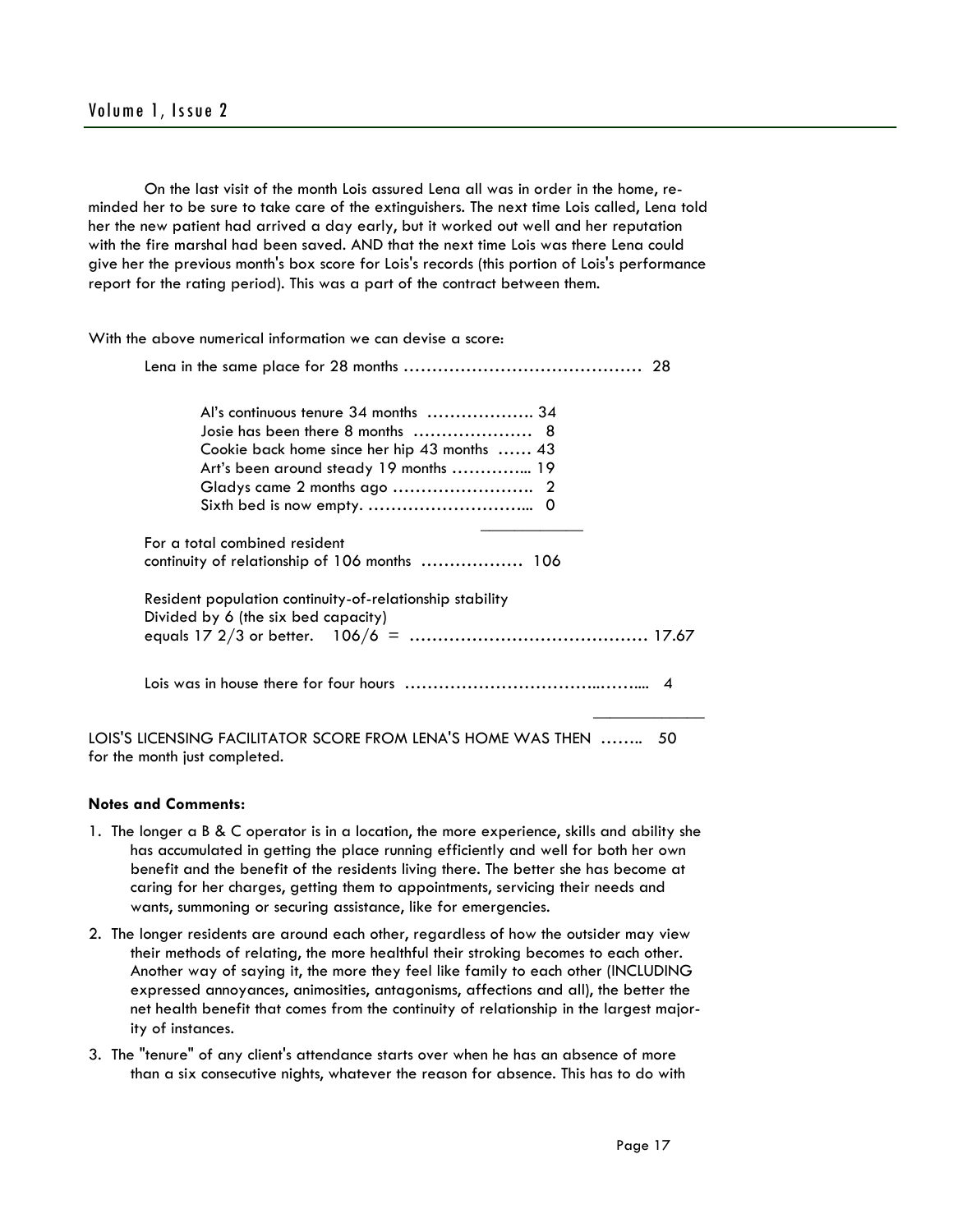On the last visit of the month Lois assured Lena all was in order in the home, reminded her to be sure to take care of the extinguishers. The next time Lois called, Lena told her the new patient had arrived a day early, but it worked out well and her reputation with the fire marshal had been saved. AND that the next time Lois was there Lena could give her the previous month's box score for Lois's records (this portion of Lois's performance report for the rating period). This was a part of the contract between them.

| With the above numerical information we can devise a score:                                                                                                        |  |  |
|--------------------------------------------------------------------------------------------------------------------------------------------------------------------|--|--|
|                                                                                                                                                                    |  |  |
| Al's continuous tenure 34 months  34<br>Josie has been there 8 months  8<br>Cookie back home since her hip 43 months  43<br>Art's been around steady 19 months  19 |  |  |
| For a total combined resident<br>continuity of relationship of 106 months  106                                                                                     |  |  |
| Resident population continuity-of-relationship stability<br>Divided by 6 (the six bed capacity)                                                                    |  |  |
|                                                                                                                                                                    |  |  |
| LOIS'S LICENSING FACILITATOR SCORE FROM LENA'S HOME WAS THEN  50                                                                                                   |  |  |

for the month just completed.

#### **Notes and Comments:**

- 1. The longer a B & C operator is in a location, the more experience, skills and ability she has accumulated in getting the place running efficiently and well for both her own benefit and the benefit of the residents living there. The better she has become at caring for her charges, getting them to appointments, servicing their needs and wants, summoning or securing assistance, like for emergencies.
- 2. The longer residents are around each other, regardless of how the outsider may view their methods of relating, the more healthful their stroking becomes to each other. Another way of saying it, the more they feel like family to each other (INCLUDING expressed annoyances, animosities, antagonisms, affections and all), the better the net health benefit that comes from the continuity of relationship in the largest majority of instances.
- 3. The "tenure" of any client's attendance starts over when he has an absence of more than a six consecutive nights, whatever the reason for absence. This has to do with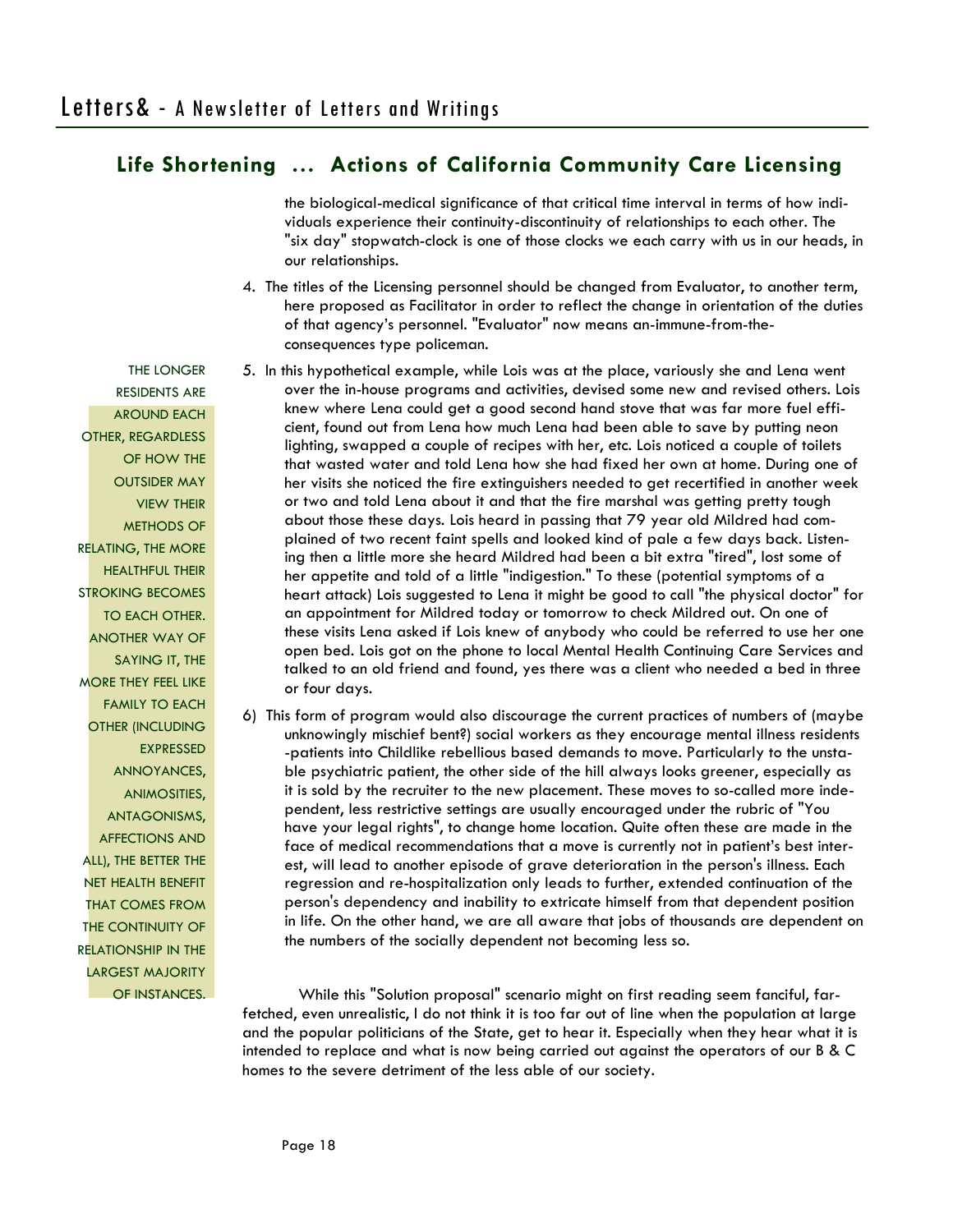the biological-medical significance of that critical time interval in terms of how individuals experience their continuity-discontinuity of relationships to each other. The "six day" stopwatch-clock is one of those clocks we each carry with us in our heads, in our relationships.

- 4. The titles of the Licensing personnel should be changed from Evaluator, to another term, here proposed as Facilitator in order to reflect the change in orientation of the duties of that agency's personnel. "Evaluator" now means an-immune-from-theconsequences type policeman.
- 5. In this hypothetical example, while Lois was at the place, variously she and Lena went over the in-house programs and activities, devised some new and revised others. Lois knew where Lena could get a good second hand stove that was far more fuel efficient, found out from Lena how much Lena had been able to save by putting neon lighting, swapped a couple of recipes with her, etc. Lois noticed a couple of toilets that wasted water and told Lena how she had fixed her own at home. During one of her visits she noticed the fire extinguishers needed to get recertified in another week or two and told Lena about it and that the fire marshal was getting pretty tough about those these days. Lois heard in passing that 79 year old Mildred had complained of two recent faint spells and looked kind of pale a few days back. Listening then a little more she heard Mildred had been a bit extra "tired", lost some of her appetite and told of a little "indigestion." To these (potential symptoms of a heart attack) Lois suggested to Lena it might be good to call "the physical doctor" for an appointment for Mildred today or tomorrow to check Mildred out. On one of these visits Lena asked if Lois knew of anybody who could be referred to use her one open bed. Lois got on the phone to local Mental Health Continuing Care Services and talked to an old friend and found, yes there was a client who needed a bed in three or four days.
- 6) This form of program would also discourage the current practices of numbers of (maybe unknowingly mischief bent?) social workers as they encourage mental illness residents -patients into Childlike rebellious based demands to move. Particularly to the unstable psychiatric patient, the other side of the hill always looks greener, especially as it is sold by the recruiter to the new placement. These moves to so-called more independent, less restrictive settings are usually encouraged under the rubric of "You have your legal rights", to change home location. Quite often these are made in the face of medical recommendations that a move is currently not in patient's best interest, will lead to another episode of grave deterioration in the person's illness. Each regression and re-hospitalization only leads to further, extended continuation of the person's dependency and inability to extricate himself from that dependent position in life. On the other hand, we are all aware that jobs of thousands are dependent on the numbers of the socially dependent not becoming less so.

 While this "Solution proposal" scenario might on first reading seem fanciful, farfetched, even unrealistic, I do not think it is too far out of line when the population at large and the popular politicians of the State, get to hear it. Especially when they hear what it is intended to replace and what is now being carried out against the operators of our B & C homes to the severe detriment of the less able of our society.

THE LONGER RESIDENTS ARE AROUND EACH OTHER, REGARDLESS OF HOW THE OUTSIDER MAY VIEW THEIR METHODS OF RELATING, THE MORE HEALTHFUL THEIR STROKING BECOMES TO EACH OTHER. ANOTHER WAY OF SAYING IT, THE MORE THEY FEEL LIKE FAMILY TO EACH OTHER (INCLUDING EXPRESSED ANNOYANCES, ANIMOSITIES, ANTAGONISMS, AFFECTIONS AND ALL), THE BETTER THE NET HEALTH BENEFIT THAT COMES FROM THE CONTINUITY OF RELATIONSHIP IN THE LARGEST MAJORITY OF INSTANCES.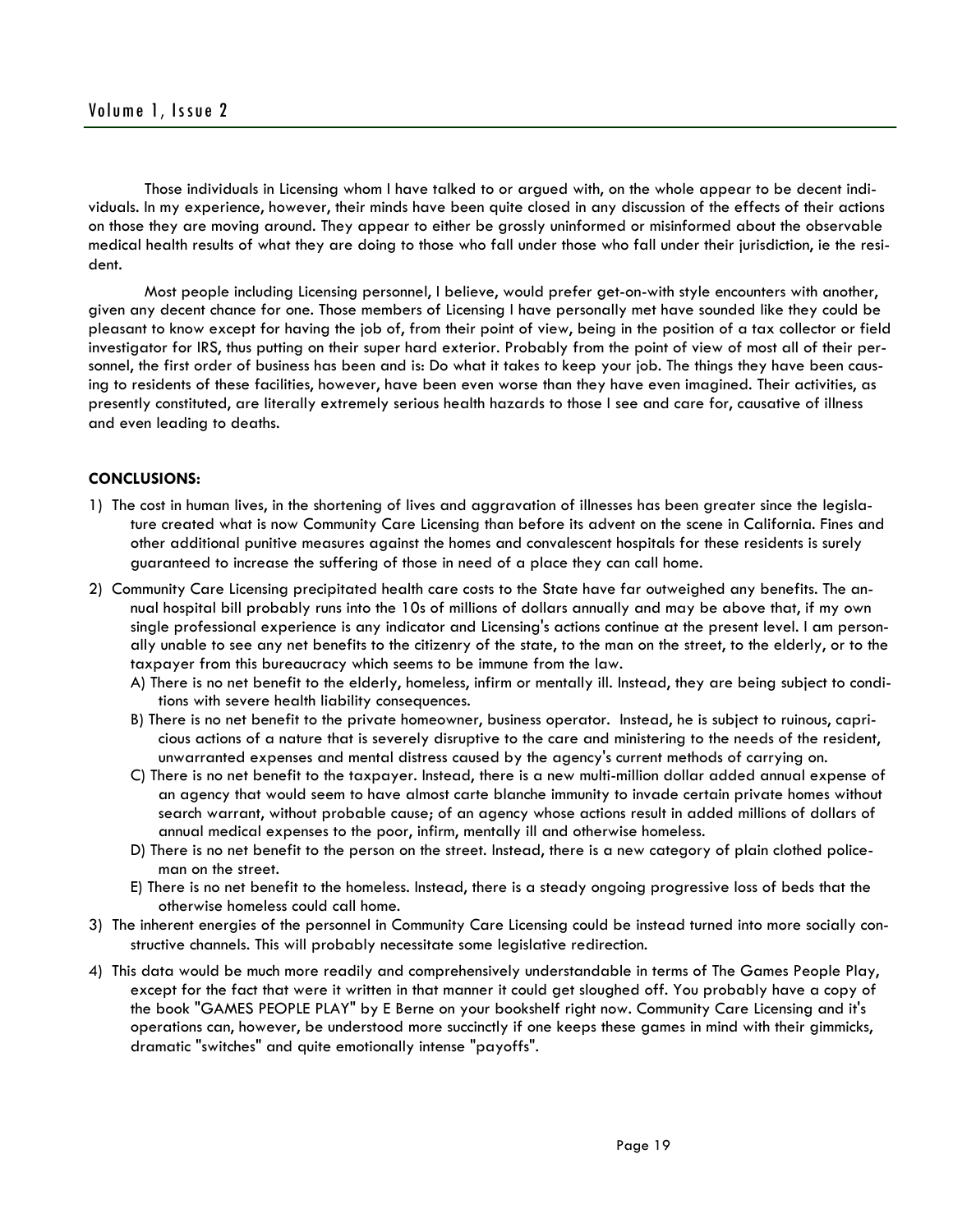Those individuals in Licensing whom I have talked to or argued with, on the whole appear to be decent individuals. In my experience, however, their minds have been quite closed in any discussion of the effects of their actions on those they are moving around. They appear to either be grossly uninformed or misinformed about the observable medical health results of what they are doing to those who fall under those who fall under their jurisdiction, ie the resident.

 Most people including Licensing personnel, I believe, would prefer get-on-with style encounters with another, given any decent chance for one. Those members of Licensing I have personally met have sounded like they could be pleasant to know except for having the job of, from their point of view, being in the position of a tax collector or field investigator for IRS, thus putting on their super hard exterior. Probably from the point of view of most all of their personnel, the first order of business has been and is: Do what it takes to keep your job. The things they have been causing to residents of these facilities, however, have been even worse than they have even imagined. Their activities, as presently constituted, are literally extremely serious health hazards to those I see and care for, causative of illness and even leading to deaths.

# **CONCLUSIONS:**

- 1) The cost in human lives, in the shortening of lives and aggravation of illnesses has been greater since the legislature created what is now Community Care Licensing than before its advent on the scene in California. Fines and other additional punitive measures against the homes and convalescent hospitals for these residents is surely guaranteed to increase the suffering of those in need of a place they can call home.
- 2) Community Care Licensing precipitated health care costs to the State have far outweighed any benefits. The annual hospital bill probably runs into the 10s of millions of dollars annually and may be above that, if my own single professional experience is any indicator and Licensing's actions continue at the present level. I am personally unable to see any net benefits to the citizenry of the state, to the man on the street, to the elderly, or to the taxpayer from this bureaucracy which seems to be immune from the law.
	- A) There is no net benefit to the elderly, homeless, infirm or mentally ill. Instead, they are being subject to conditions with severe health liability consequences.
	- B) There is no net benefit to the private homeowner, business operator. Instead, he is subject to ruinous, capricious actions of a nature that is severely disruptive to the care and ministering to the needs of the resident, unwarranted expenses and mental distress caused by the agency's current methods of carrying on.
	- C) There is no net benefit to the taxpayer. Instead, there is a new multi-million dollar added annual expense of an agency that would seem to have almost carte blanche immunity to invade certain private homes without search warrant, without probable cause; of an agency whose actions result in added millions of dollars of annual medical expenses to the poor, infirm, mentally ill and otherwise homeless.
	- D) There is no net benefit to the person on the street. Instead, there is a new category of plain clothed policeman on the street.
	- E) There is no net benefit to the homeless. Instead, there is a steady ongoing progressive loss of beds that the otherwise homeless could call home.
- 3) The inherent energies of the personnel in Community Care Licensing could be instead turned into more socially constructive channels. This will probably necessitate some legislative redirection.
- 4) This data would be much more readily and comprehensively understandable in terms of The Games People Play, except for the fact that were it written in that manner it could get sloughed off. You probably have a copy of the book "GAMES PEOPLE PLAY" by E Berne on your bookshelf right now. Community Care Licensing and it's operations can, however, be understood more succinctly if one keeps these games in mind with their gimmicks, dramatic "switches" and quite emotionally intense "payoffs".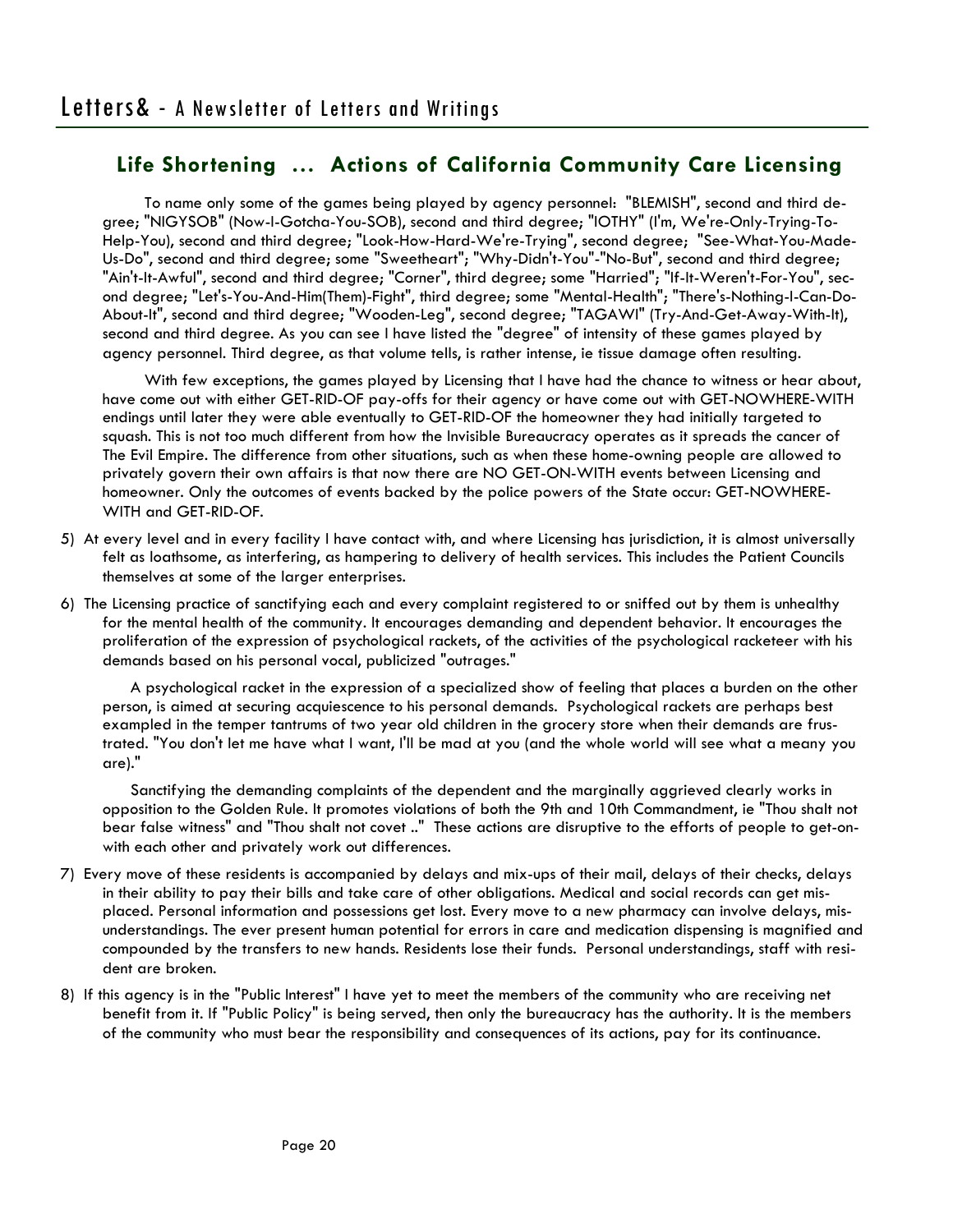To name only some of the games being played by agency personnel: "BLEMISH", second and third degree; "NIGYSOB" (Now-I-Gotcha-You-SOB), second and third degree; "IOTHY" (I'm, We're-Only-Trying-To-Help-You), second and third degree; "Look-How-Hard-We're-Trying", second degree; "See-What-You-Made-Us-Do", second and third degree; some "Sweetheart"; "Why-Didn't-You"-"No-But", second and third degree; "Ain't-It-Awful", second and third degree; "Corner", third degree; some "Harried"; "If-It-Weren't-For-You", second degree; "Let's-You-And-Him(Them)-Fight", third degree; some "Mental-Health"; "There's-Nothing-I-Can-Do-About-It", second and third degree; "Wooden-Leg", second degree; "TAGAWI" (Try-And-Get-Away-With-It), second and third degree. As you can see I have listed the "degree" of intensity of these games played by agency personnel. Third degree, as that volume tells, is rather intense, ie tissue damage often resulting.

 With few exceptions, the games played by Licensing that I have had the chance to witness or hear about, have come out with either GET-RID-OF pay-offs for their agency or have come out with GET-NOWHERE-WITH endings until later they were able eventually to GET-RID-OF the homeowner they had initially targeted to squash. This is not too much different from how the Invisible Bureaucracy operates as it spreads the cancer of The Evil Empire. The difference from other situations, such as when these home-owning people are allowed to privately govern their own affairs is that now there are NO GET-ON-WITH events between Licensing and homeowner. Only the outcomes of events backed by the police powers of the State occur: GET-NOWHERE-WITH and GET-RID-OF.

- 5) At every level and in every facility I have contact with, and where Licensing has jurisdiction, it is almost universally felt as loathsome, as interfering, as hampering to delivery of health services. This includes the Patient Councils themselves at some of the larger enterprises.
- 6) The Licensing practice of sanctifying each and every complaint registered to or sniffed out by them is unhealthy for the mental health of the community. It encourages demanding and dependent behavior. It encourages the proliferation of the expression of psychological rackets, of the activities of the psychological racketeer with his demands based on his personal vocal, publicized "outrages."

 A psychological racket in the expression of a specialized show of feeling that places a burden on the other person, is aimed at securing acquiescence to his personal demands. Psychological rackets are perhaps best exampled in the temper tantrums of two year old children in the grocery store when their demands are frustrated. "You don't let me have what I want, I'll be mad at you (and the whole world will see what a meany you are)."

 Sanctifying the demanding complaints of the dependent and the marginally aggrieved clearly works in opposition to the Golden Rule. It promotes violations of both the 9th and 10th Commandment, ie "Thou shalt not bear false witness" and "Thou shalt not covet .." These actions are disruptive to the efforts of people to get-onwith each other and privately work out differences.

- 7) Every move of these residents is accompanied by delays and mix-ups of their mail, delays of their checks, delays in their ability to pay their bills and take care of other obligations. Medical and social records can get misplaced. Personal information and possessions get lost. Every move to a new pharmacy can involve delays, misunderstandings. The ever present human potential for errors in care and medication dispensing is magnified and compounded by the transfers to new hands. Residents lose their funds. Personal understandings, staff with resident are broken.
- 8) If this agency is in the "Public Interest" I have yet to meet the members of the community who are receiving net benefit from it. If "Public Policy" is being served, then only the bureaucracy has the authority. It is the members of the community who must bear the responsibility and consequences of its actions, pay for its continuance.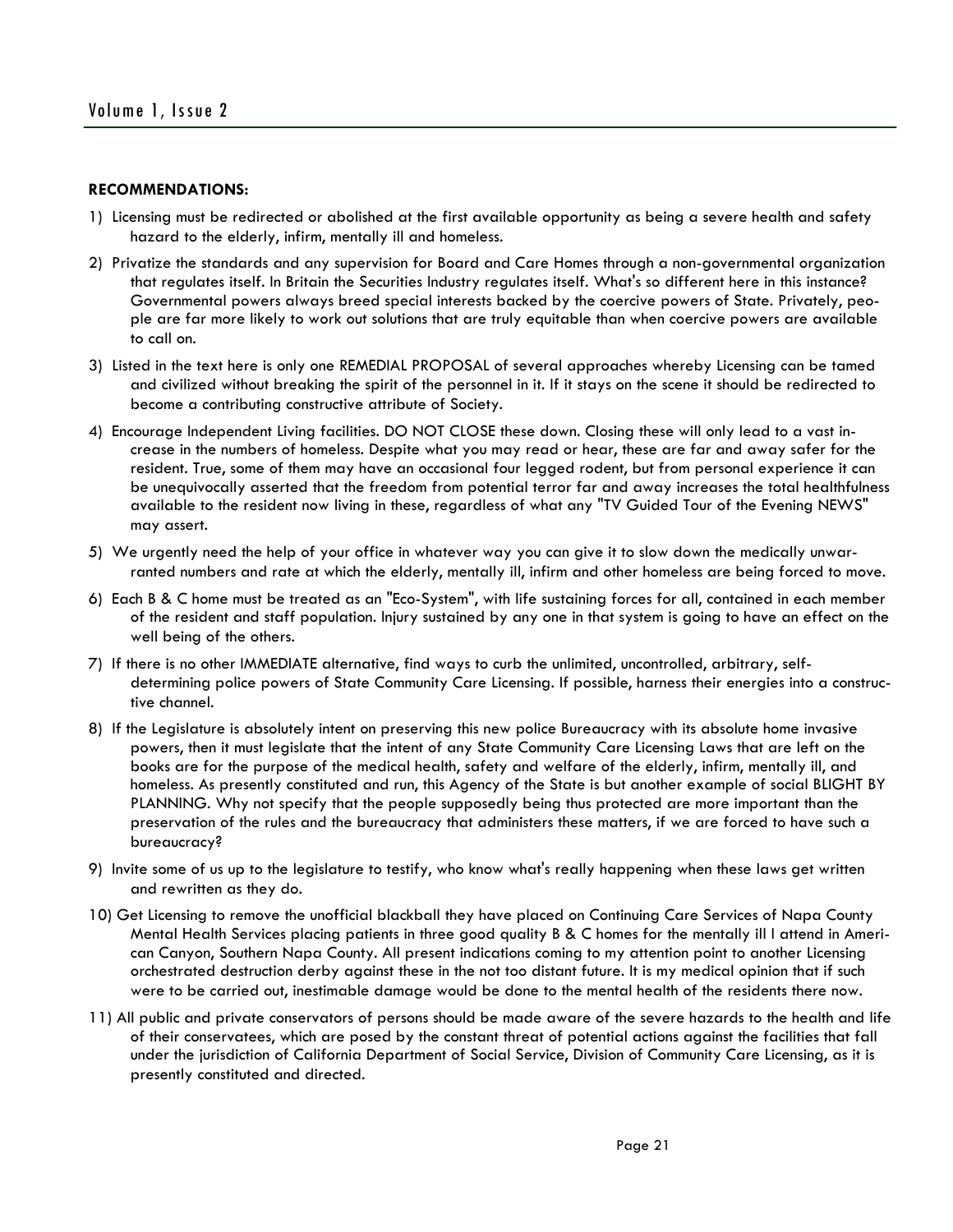## **RECOMMENDATIONS:**

- 1) Licensing must be redirected or abolished at the first available opportunity as being a severe health and safety hazard to the elderly, infirm, mentally ill and homeless.
- 2) Privatize the standards and any supervision for Board and Care Homes through a non-governmental organization that regulates itself. In Britain the Securities Industry regulates itself. What's so different here in this instance? Governmental powers always breed special interests backed by the coercive powers of State. Privately, people are far more likely to work out solutions that are truly equitable than when coercive powers are available to call on.
- 3) Listed in the text here is only one REMEDIAL PROPOSAL of several approaches whereby Licensing can be tamed and civilized without breaking the spirit of the personnel in it. If it stays on the scene it should be redirected to become a contributing constructive attribute of Society.
- 4) Encourage Independent Living facilities. DO NOT CLOSE these down. Closing these will only lead to a vast increase in the numbers of homeless. Despite what you may read or hear, these are far and away safer for the resident. True, some of them may have an occasional four legged rodent, but from personal experience it can be unequivocally asserted that the freedom from potential terror far and away increases the total healthfulness available to the resident now living in these, regardless of what any "TV Guided Tour of the Evening NEWS" may assert.
- 5) We urgently need the help of your office in whatever way you can give it to slow down the medically unwarranted numbers and rate at which the elderly, mentally ill, infirm and other homeless are being forced to move.
- 6) Each B & C home must be treated as an "Eco-System", with life sustaining forces for all, contained in each member of the resident and staff population. Injury sustained by any one in that system is going to have an effect on the well being of the others.
- 7) If there is no other IMMEDIATE alternative, find ways to curb the unlimited, uncontrolled, arbitrary, selfdetermining police powers of State Community Care Licensing. If possible, harness their energies into a constructive channel.
- 8) If the Legislature is absolutely intent on preserving this new police Bureaucracy with its absolute home invasive powers, then it must legislate that the intent of any State Community Care Licensing Laws that are left on the books are for the purpose of the medical health, safety and welfare of the elderly, infirm, mentally ill, and homeless. As presently constituted and run, this Agency of the State is but another example of social BLIGHT BY PLANNING. Why not specify that the people supposedly being thus protected are more important than the preservation of the rules and the bureaucracy that administers these matters, if we are forced to have such a bureaucracy?
- 9) Invite some of us up to the legislature to testify, who know what's really happening when these laws get written and rewritten as they do.
- 10) Get Licensing to remove the unofficial blackball they have placed on Continuing Care Services of Napa County Mental Health Services placing patients in three good quality B & C homes for the mentally ill I attend in American Canyon, Southern Napa County. All present indications coming to my attention point to another Licensing orchestrated destruction derby against these in the not too distant future. It is my medical opinion that if such were to be carried out, inestimable damage would be done to the mental health of the residents there now.
- 11) All public and private conservators of persons should be made aware of the severe hazards to the health and life of their conservatees, which are posed by the constant threat of potential actions against the facilities that fall under the jurisdiction of California Department of Social Service, Division of Community Care Licensing, as it is presently constituted and directed.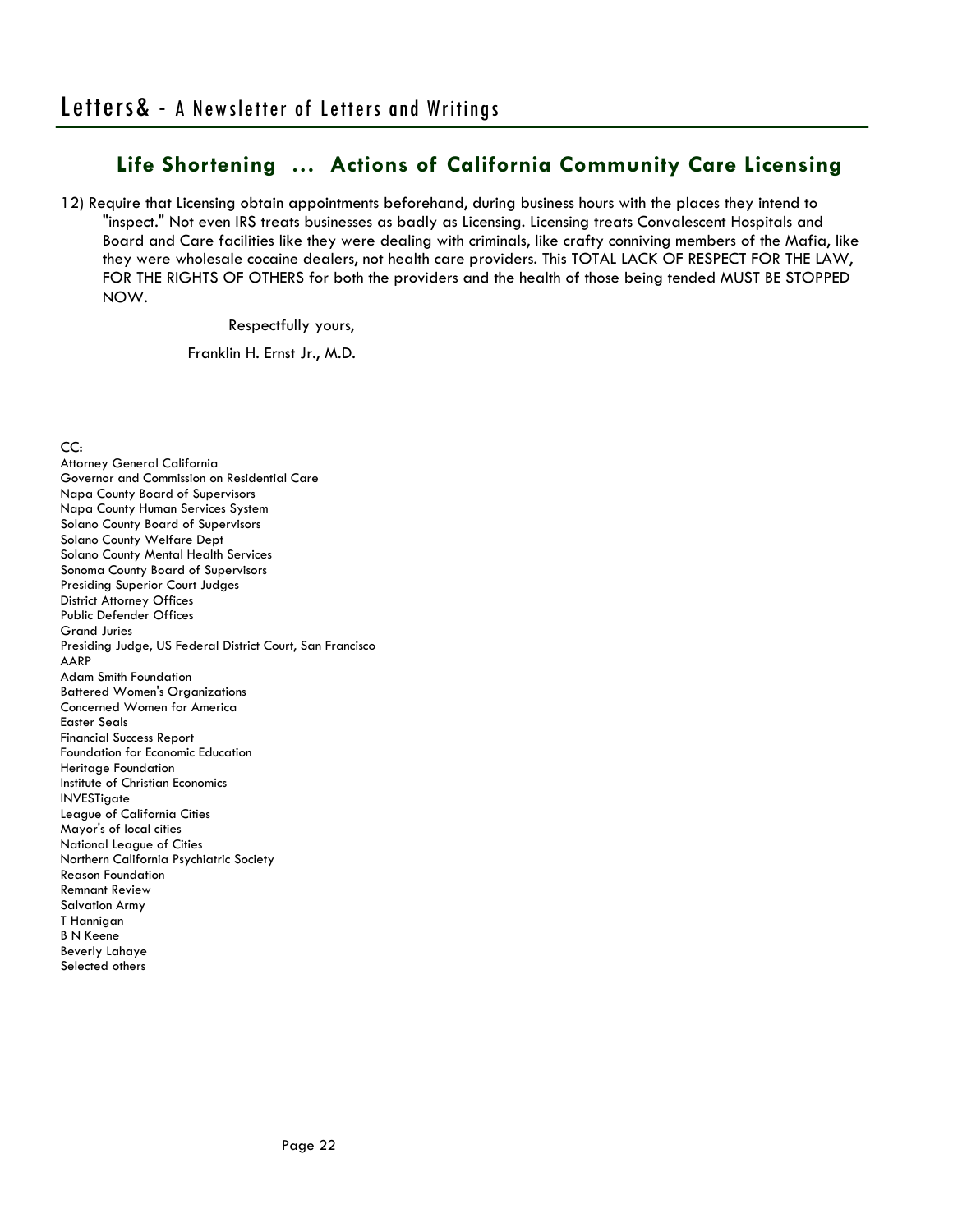12) Require that Licensing obtain appointments beforehand, during business hours with the places they intend to "inspect." Not even IRS treats businesses as badly as Licensing. Licensing treats Convalescent Hospitals and Board and Care facilities like they were dealing with criminals, like crafty conniving members of the Mafia, like they were wholesale cocaine dealers, not health care providers. This TOTAL LACK OF RESPECT FOR THE LAW, FOR THE RIGHTS OF OTHERS for both the providers and the health of those being tended MUST BE STOPPED NOW.

Respectfully yours,

Franklin H. Ernst Jr., M.D.

CC:

Attorney General California Governor and Commission on Residential Care Napa County Board of Supervisors Napa County Human Services System Solano County Board of Supervisors Solano County Welfare Dept Solano County Mental Health Services Sonoma County Board of Supervisors Presiding Superior Court Judges District Attorney Offices Public Defender Offices Grand Juries Presiding Judge, US Federal District Court, San Francisco AARP Adam Smith Foundation Battered Women's Organizations Concerned Women for America Easter Seals Financial Success Report Foundation for Economic Education Heritage Foundation Institute of Christian Economics INVESTigate League of California Cities Mayor's of local cities National League of Cities Northern California Psychiatric Society Reason Foundation Remnant Review Salvation Army T Hannigan B N Keene Beverly Lahaye Selected others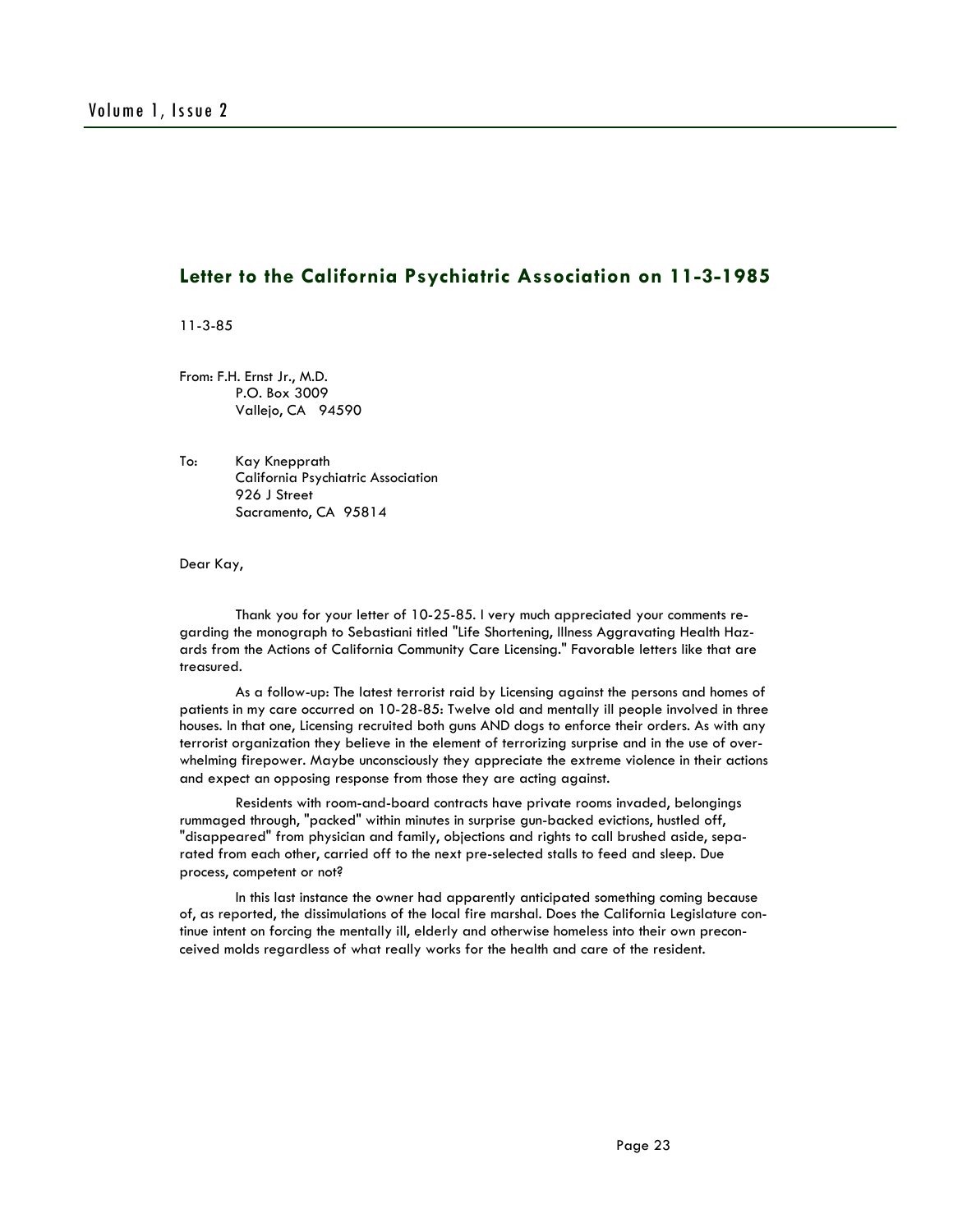# **Letter to the California Psychiatric Association on 11-3-1985**

11-3-85

From: F.H. Ernst Jr., M.D. P.O. Box 3009 Vallejo, CA 94590

To: Kay Knepprath California Psychiatric Association 926 J Street Sacramento, CA 95814

Dear Kay,

 Thank you for your letter of 10-25-85. I very much appreciated your comments regarding the monograph to Sebastiani titled "Life Shortening, Illness Aggravating Health Hazards from the Actions of California Community Care Licensing." Favorable letters like that are treasured.

 As a follow-up: The latest terrorist raid by Licensing against the persons and homes of patients in my care occurred on 10-28-85: Twelve old and mentally ill people involved in three houses. In that one, Licensing recruited both guns AND dogs to enforce their orders. As with any terrorist organization they believe in the element of terrorizing surprise and in the use of overwhelming firepower. Maybe unconsciously they appreciate the extreme violence in their actions and expect an opposing response from those they are acting against.

 Residents with room-and-board contracts have private rooms invaded, belongings rummaged through, "packed" within minutes in surprise gun-backed evictions, hustled off, "disappeared" from physician and family, objections and rights to call brushed aside, separated from each other, carried off to the next pre-selected stalls to feed and sleep. Due process, competent or not?

 In this last instance the owner had apparently anticipated something coming because of, as reported, the dissimulations of the local fire marshal. Does the California Legislature continue intent on forcing the mentally ill, elderly and otherwise homeless into their own preconceived molds regardless of what really works for the health and care of the resident.